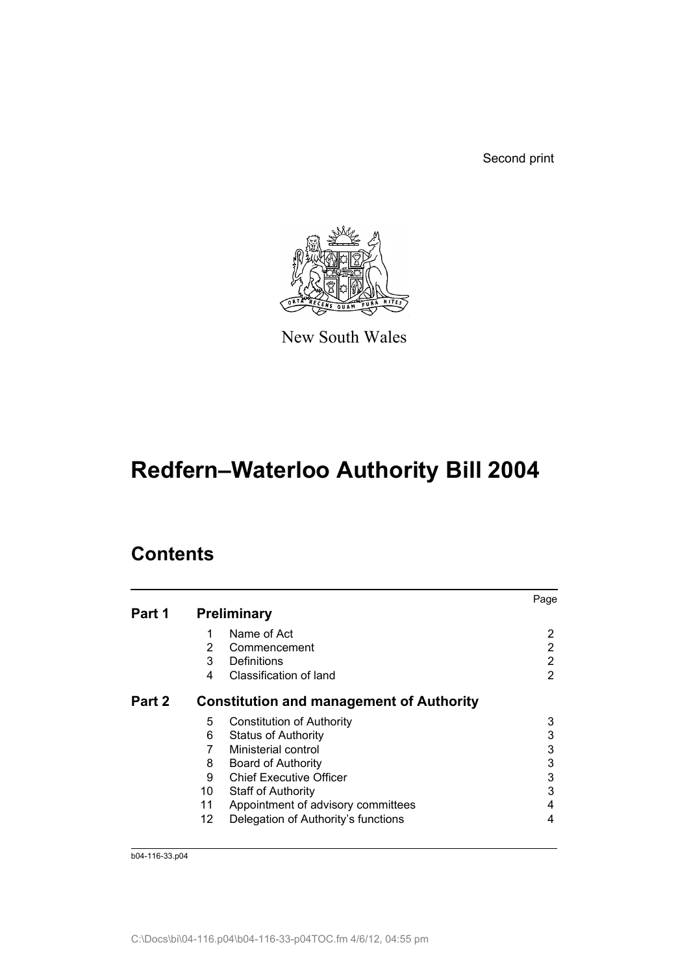Second print



New South Wales

# **Redfern–Waterloo Authority Bill 2004**

## **Contents**

|        |     |                                                 | Page |
|--------|-----|-------------------------------------------------|------|
| Part 1 |     | <b>Preliminary</b>                              |      |
|        | 1   | Name of Act                                     | 2    |
|        | 2   | Commencement                                    | 2    |
|        | 3   | Definitions                                     | 2    |
|        | 4   | Classification of land                          | 2    |
| Part 2 |     | <b>Constitution and management of Authority</b> |      |
|        | 5   | <b>Constitution of Authority</b>                | 3    |
|        | 6   | <b>Status of Authority</b>                      | 3    |
|        |     | Ministerial control                             | 3    |
|        | 8   | Board of Authority                              | 3    |
|        | 9   | <b>Chief Executive Officer</b>                  | 3    |
|        | 10  | <b>Staff of Authority</b>                       | 3    |
|        | 11  | Appointment of advisory committees              | 4    |
|        | 12. | Delegation of Authority's functions             | 4    |
|        |     |                                                 |      |

b04-116-33.p04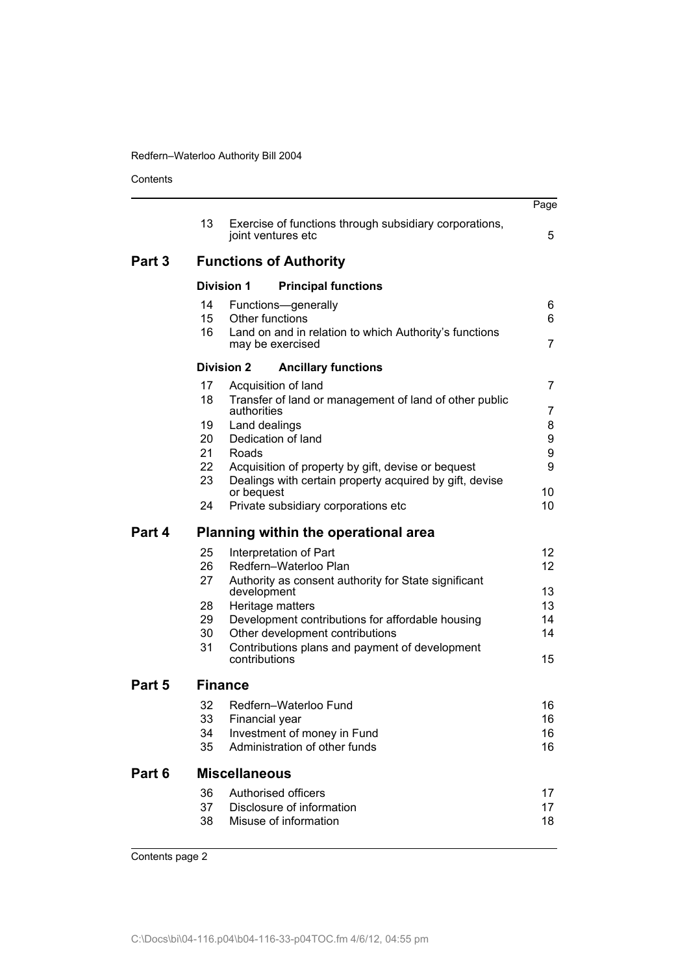Contents

|        |          |                                                                                   | Page              |
|--------|----------|-----------------------------------------------------------------------------------|-------------------|
|        | 13       | Exercise of functions through subsidiary corporations,<br>joint ventures etc      | 5                 |
| Part 3 |          | <b>Functions of Authority</b>                                                     |                   |
|        |          | <b>Division 1</b><br><b>Principal functions</b>                                   |                   |
|        | 14<br>15 | Functions-generally<br>Other functions                                            | 6<br>6            |
|        | 16       | Land on and in relation to which Authority's functions<br>may be exercised        | $\overline{7}$    |
|        |          | <b>Division 2</b><br><b>Ancillary functions</b>                                   |                   |
|        | 17       | Acquisition of land                                                               | $\overline{7}$    |
|        | 18       | Transfer of land or management of land of other public<br>authorities             | 7                 |
|        | 19       | Land dealings                                                                     | 8                 |
|        | 20<br>21 | Dedication of land<br>Roads                                                       | 9<br>9            |
|        | 22       | Acquisition of property by gift, devise or bequest                                | 9                 |
|        | 23       | Dealings with certain property acquired by gift, devise<br>or bequest             | 10                |
|        | 24       | Private subsidiary corporations etc                                               | 10                |
| Part 4 |          | <b>Planning within the operational area</b>                                       |                   |
|        | 25       | Interpretation of Part                                                            | $12 \overline{ }$ |
|        | 26       | Redfern-Waterloo Plan                                                             | 12                |
|        | 27       | Authority as consent authority for State significant<br>development               | 13                |
|        | 28       | Heritage matters                                                                  | 13                |
|        | 29       | Development contributions for affordable housing                                  | 14                |
|        | 30<br>31 | Other development contributions<br>Contributions plans and payment of development | 14                |
|        |          | contributions                                                                     | 15                |
| Part 5 |          | <b>Finance</b>                                                                    |                   |
|        | 32       | Redfern-Waterloo Fund                                                             | 16                |
|        | 33       | Financial year                                                                    | 16                |
|        | 34<br>35 | Investment of money in Fund<br>Administration of other funds                      | 16<br>16          |
| Part 6 |          | <b>Miscellaneous</b>                                                              |                   |
|        | 36       | Authorised officers                                                               | 17                |
|        | 37       | Disclosure of information                                                         | 17                |
|        | 38       | Misuse of information                                                             | 18                |
|        |          |                                                                                   |                   |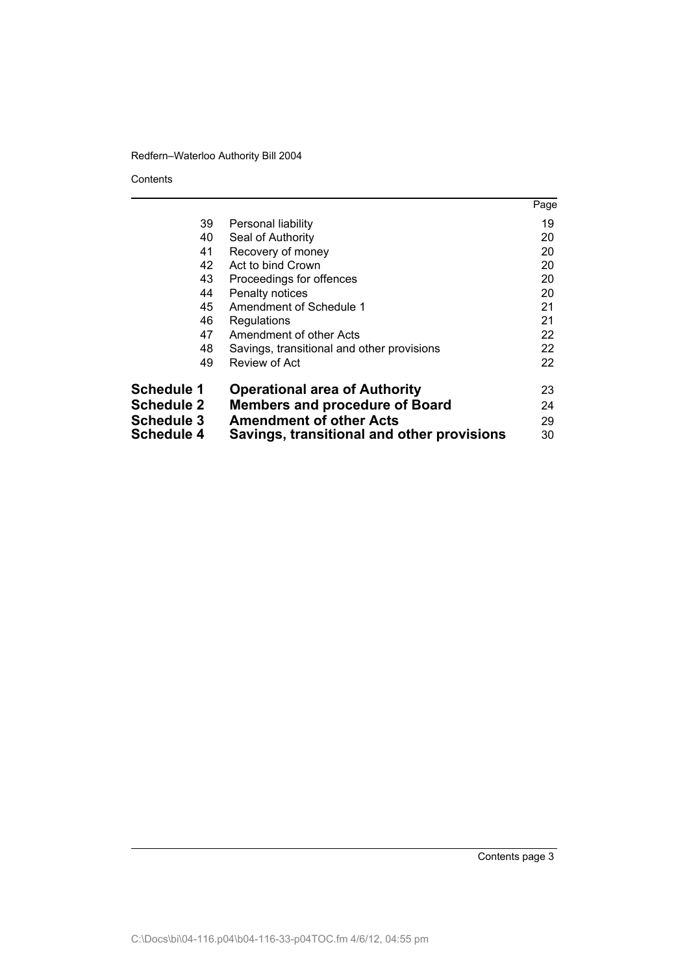### Contents

|                   |                                            | Page |
|-------------------|--------------------------------------------|------|
| 39                | Personal liability                         | 19   |
| 40                | Seal of Authority                          | 20   |
| 41                | Recovery of money                          | 20   |
| 42                | Act to bind Crown                          | 20   |
| 43                | Proceedings for offences                   | 20   |
| 44                | Penalty notices                            | 20   |
| 45                | Amendment of Schedule 1                    | 21   |
| 46                | Regulations                                | 21   |
| 47                | Amendment of other Acts                    | 22   |
| 48                | Savings, transitional and other provisions | 22   |
| 49                | Review of Act                              | 22   |
| Schedule 1        | <b>Operational area of Authority</b>       | 23   |
| <b>Schedule 2</b> | <b>Members and procedure of Board</b>      | 24   |
| <b>Schedule 3</b> | <b>Amendment of other Acts</b>             | 29   |
| Schedule 4        | Savings, transitional and other provisions | 30   |

Contents page 3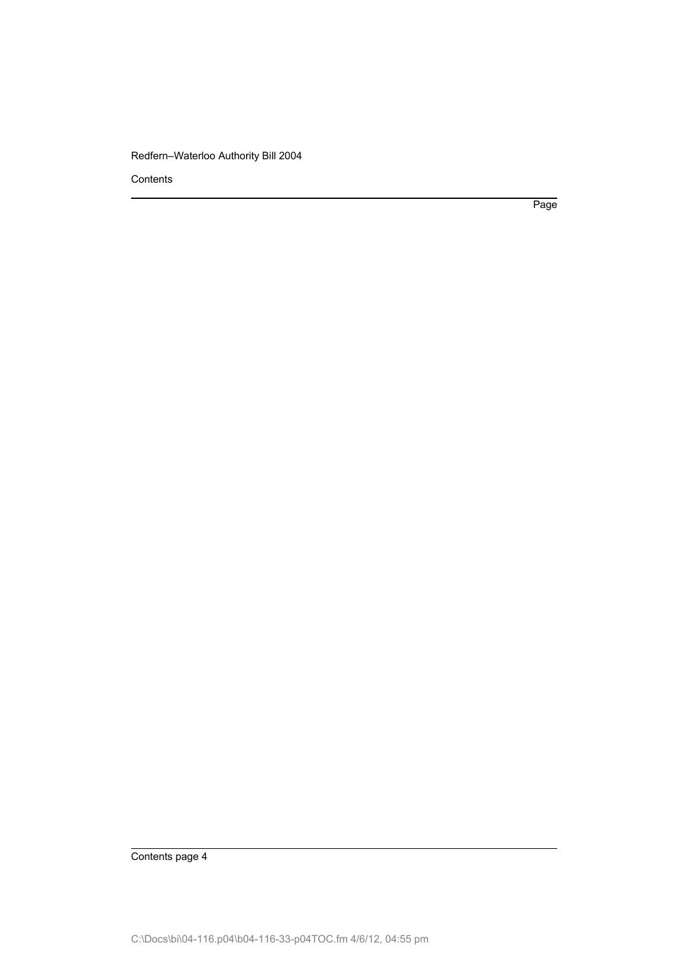Contents

Page

Contents page 4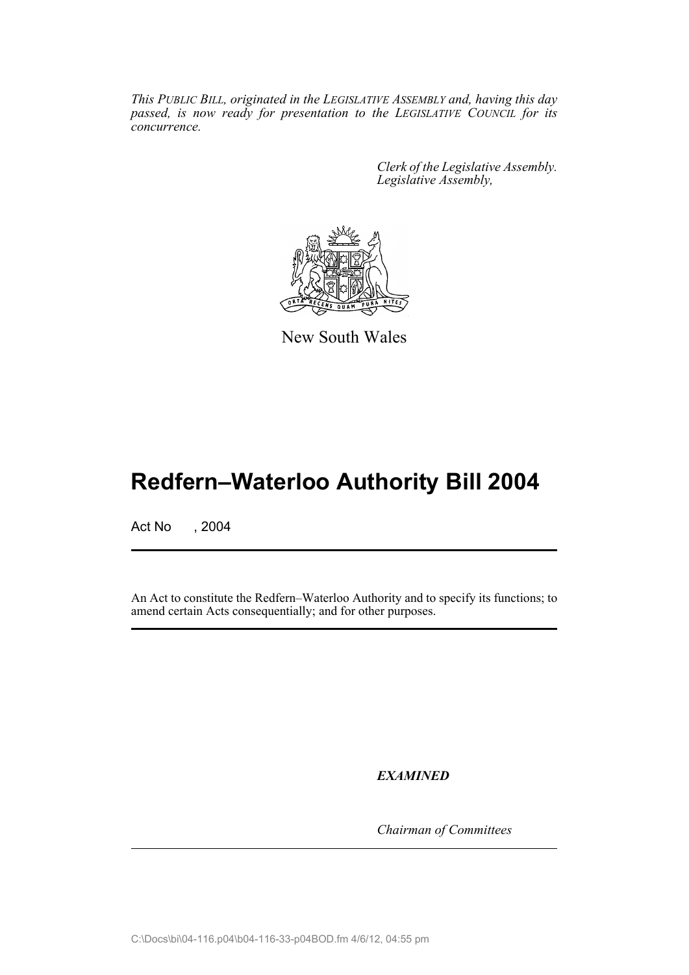*This PUBLIC BILL, originated in the LEGISLATIVE ASSEMBLY and, having this day passed, is now ready for presentation to the LEGISLATIVE COUNCIL for its concurrence.*

> *Clerk of the Legislative Assembly. Legislative Assembly,*



New South Wales

## **Redfern–Waterloo Authority Bill 2004**

Act No , 2004

An Act to constitute the Redfern–Waterloo Authority and to specify its functions; to amend certain Acts consequentially; and for other purposes.

*EXAMINED*

*Chairman of Committees*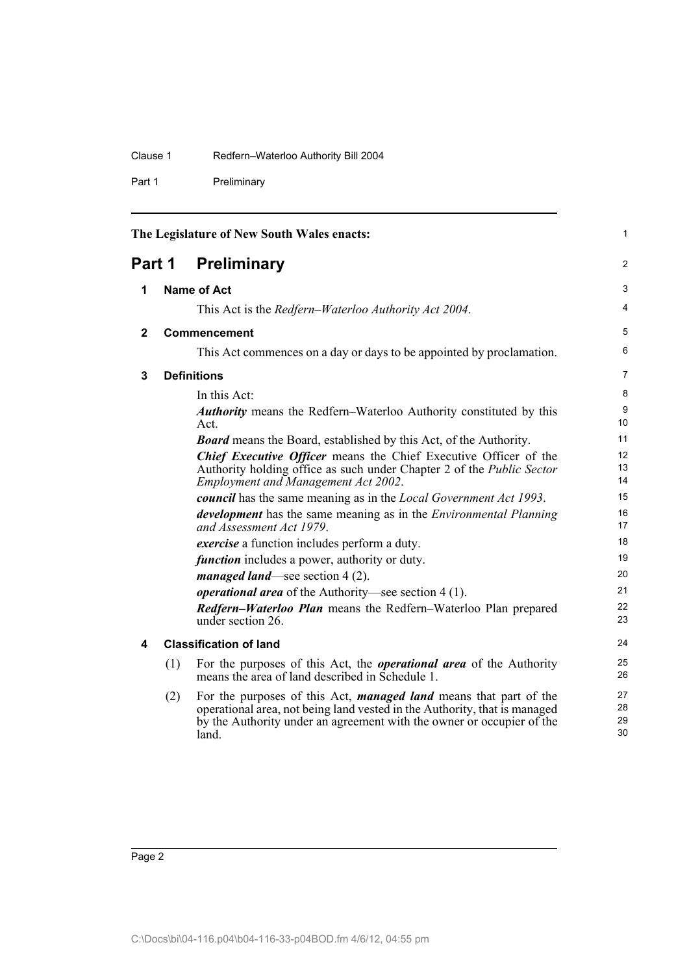## Clause 1 Redfern–Waterloo Authority Bill 2004

Part 1 Preliminary

<span id="page-5-4"></span><span id="page-5-3"></span><span id="page-5-2"></span><span id="page-5-1"></span><span id="page-5-0"></span>

| The Legislature of New South Wales enacts: |     |                                                                                                                                                                                                                                         | $\mathbf{1}$         |
|--------------------------------------------|-----|-----------------------------------------------------------------------------------------------------------------------------------------------------------------------------------------------------------------------------------------|----------------------|
| <b>Preliminary</b><br>Part 1               |     | $\overline{2}$                                                                                                                                                                                                                          |                      |
| 1                                          |     | <b>Name of Act</b>                                                                                                                                                                                                                      | 3                    |
|                                            |     | This Act is the <i>Redfern–Waterloo Authority Act 2004</i> .                                                                                                                                                                            | 4                    |
| $\mathbf{2}$                               |     | Commencement                                                                                                                                                                                                                            | 5                    |
|                                            |     | This Act commences on a day or days to be appointed by proclamation.                                                                                                                                                                    | 6                    |
| 3                                          |     | <b>Definitions</b>                                                                                                                                                                                                                      | $\overline{7}$       |
|                                            |     | In this Act:                                                                                                                                                                                                                            | 8                    |
|                                            |     | <b>Authority</b> means the Redfern–Waterloo Authority constituted by this<br>Act.                                                                                                                                                       | 9<br>10 <sup>1</sup> |
|                                            |     | <b>Board</b> means the Board, established by this Act, of the Authority.                                                                                                                                                                | 11                   |
|                                            |     | <b>Chief Executive Officer</b> means the Chief Executive Officer of the<br>Authority holding office as such under Chapter 2 of the <i>Public Sector</i><br><b>Employment and Management Act 2002.</b>                                   | 12<br>13<br>14       |
|                                            |     | <b><i>council</i></b> has the same meaning as in the <i>Local Government Act 1993</i> .                                                                                                                                                 | 15                   |
|                                            |     | <i>development</i> has the same meaning as in the <i>Environmental Planning</i><br>and Assessment Act 1979.                                                                                                                             | 16<br>17             |
|                                            |     | <i>exercise</i> a function includes perform a duty.                                                                                                                                                                                     | 18                   |
|                                            |     | <i>function</i> includes a power, authority or duty.                                                                                                                                                                                    | 19                   |
|                                            |     | <i>managed land</i> —see section $4(2)$ .                                                                                                                                                                                               | 20                   |
|                                            |     | <i>operational area</i> of the Authority—see section $4(1)$ .                                                                                                                                                                           | 21                   |
|                                            |     | Redfern-Waterloo Plan means the Redfern-Waterloo Plan prepared<br>under section 26.                                                                                                                                                     | 22<br>23             |
| 4                                          |     | <b>Classification of land</b>                                                                                                                                                                                                           | 24                   |
|                                            | (1) | For the purposes of this Act, the <i>operational area</i> of the Authority<br>means the area of land described in Schedule 1.                                                                                                           | 25<br>26             |
|                                            | (2) | For the purposes of this Act, <i>managed land</i> means that part of the<br>operational area, not being land vested in the Authority, that is managed<br>by the Authority under an agreement with the owner or occupier of the<br>land. | 27<br>28<br>29<br>30 |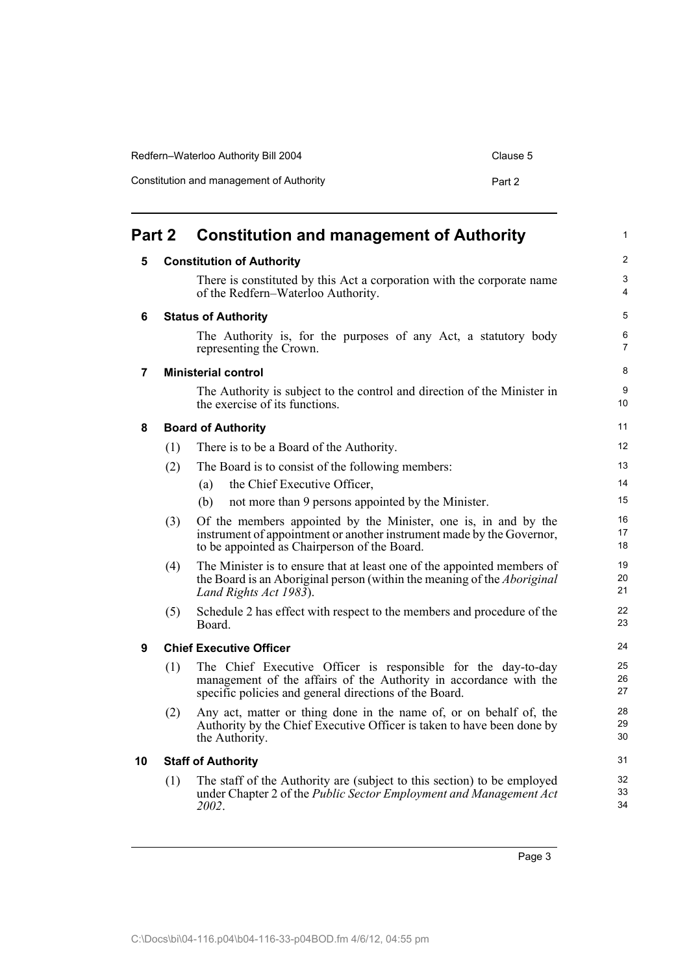| Redfern-Waterloo Authority Bill 2004     | Clause 5 |
|------------------------------------------|----------|
| Constitution and management of Authority | Part 2   |

<span id="page-6-6"></span><span id="page-6-5"></span><span id="page-6-4"></span><span id="page-6-3"></span><span id="page-6-2"></span><span id="page-6-1"></span><span id="page-6-0"></span>

| <b>Part 2</b> |     | <b>Constitution and management of Authority</b>                                                                                                                                              | $\mathbf{1}$         |
|---------------|-----|----------------------------------------------------------------------------------------------------------------------------------------------------------------------------------------------|----------------------|
| 5             |     | <b>Constitution of Authority</b>                                                                                                                                                             | $\overline{2}$       |
|               |     | There is constituted by this Act a corporation with the corporate name<br>of the Redfern–Waterloo Authority.                                                                                 | 3<br>$\overline{4}$  |
| 6             |     | <b>Status of Authority</b>                                                                                                                                                                   | 5                    |
|               |     | The Authority is, for the purposes of any Act, a statutory body<br>representing the Crown.                                                                                                   | 6<br>$\overline{7}$  |
| 7             |     | <b>Ministerial control</b>                                                                                                                                                                   | 8                    |
|               |     | The Authority is subject to the control and direction of the Minister in<br>the exercise of its functions.                                                                                   | 9<br>10 <sup>°</sup> |
| 8             |     | <b>Board of Authority</b>                                                                                                                                                                    | 11                   |
|               | (1) | There is to be a Board of the Authority.                                                                                                                                                     | 12                   |
|               | (2) | The Board is to consist of the following members:                                                                                                                                            | 13                   |
|               |     | the Chief Executive Officer,<br>(a)                                                                                                                                                          | 14                   |
|               |     | not more than 9 persons appointed by the Minister.<br>(b)                                                                                                                                    | 15                   |
|               | (3) | Of the members appointed by the Minister, one is, in and by the<br>instrument of appointment or another instrument made by the Governor,<br>to be appointed as Chairperson of the Board.     | 16<br>17<br>18       |
|               | (4) | The Minister is to ensure that at least one of the appointed members of<br>the Board is an Aboriginal person (within the meaning of the <i>Aboriginal</i><br>Land Rights Act 1983).          | 19<br>20<br>21       |
|               | (5) | Schedule 2 has effect with respect to the members and procedure of the<br>Board.                                                                                                             | 22<br>23             |
| 9             |     | <b>Chief Executive Officer</b>                                                                                                                                                               | 24                   |
|               | (1) | The Chief Executive Officer is responsible for the day-to-day<br>management of the affairs of the Authority in accordance with the<br>specific policies and general directions of the Board. | 25<br>26<br>27       |
|               | (2) | Any act, matter or thing done in the name of, or on behalf of, the<br>Authority by the Chief Executive Officer is taken to have been done by<br>the Authority.                               | 28<br>29<br>30       |
| 10            |     | <b>Staff of Authority</b>                                                                                                                                                                    | 31                   |
|               | (1) | The staff of the Authority are (subject to this section) to be employed<br>under Chapter 2 of the Public Sector Employment and Management Act<br>2002.                                       | 32<br>33<br>34       |
|               |     |                                                                                                                                                                                              |                      |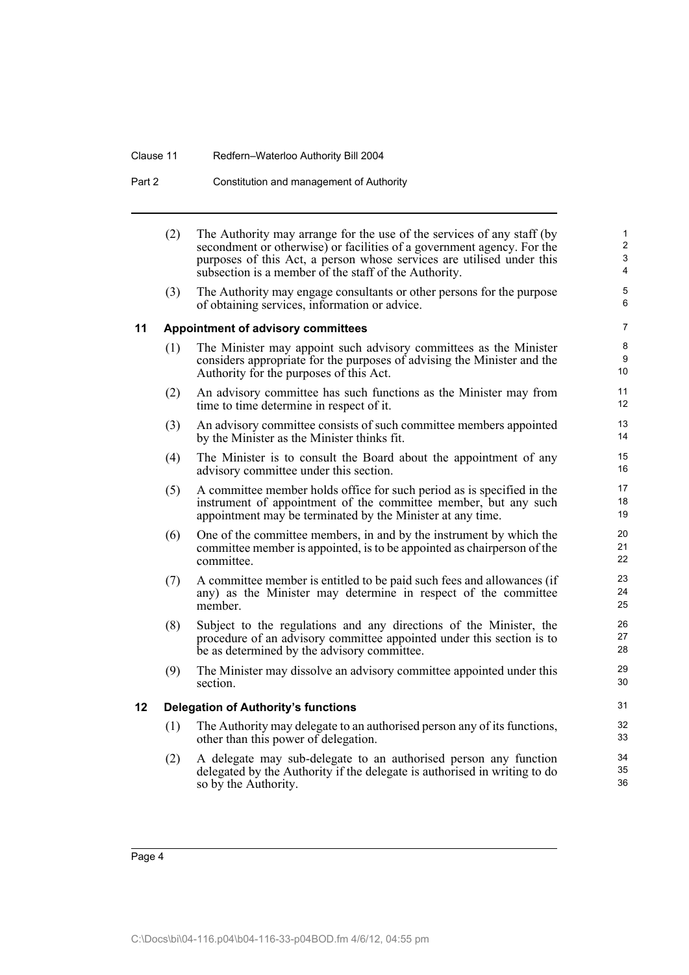## Clause 11 Redfern–Waterloo Authority Bill 2004

Part 2 Constitution and management of Authority

<span id="page-7-1"></span><span id="page-7-0"></span>

|    | (2) | The Authority may arrange for the use of the services of any staff (by<br>secondment or otherwise) or facilities of a government agency. For the<br>purposes of this Act, a person whose services are utilised under this<br>subsection is a member of the staff of the Authority. | $\mathbf{1}$<br>$\boldsymbol{2}$<br>3<br>4 |
|----|-----|------------------------------------------------------------------------------------------------------------------------------------------------------------------------------------------------------------------------------------------------------------------------------------|--------------------------------------------|
|    | (3) | The Authority may engage consultants or other persons for the purpose<br>of obtaining services, information or advice.                                                                                                                                                             | 5<br>6                                     |
| 11 |     | Appointment of advisory committees                                                                                                                                                                                                                                                 | $\overline{7}$                             |
|    | (1) | The Minister may appoint such advisory committees as the Minister<br>considers appropriate for the purposes of advising the Minister and the<br>Authority for the purposes of this Act.                                                                                            | 8<br>9<br>10                               |
|    | (2) | An advisory committee has such functions as the Minister may from<br>time to time determine in respect of it.                                                                                                                                                                      | 11<br>12                                   |
|    | (3) | An advisory committee consists of such committee members appointed<br>by the Minister as the Minister thinks fit.                                                                                                                                                                  | 13<br>14                                   |
|    | (4) | The Minister is to consult the Board about the appointment of any<br>advisory committee under this section.                                                                                                                                                                        | 15<br>16                                   |
|    | (5) | A committee member holds office for such period as is specified in the<br>instrument of appointment of the committee member, but any such<br>appointment may be terminated by the Minister at any time.                                                                            | 17<br>18<br>19                             |
|    | (6) | One of the committee members, in and by the instrument by which the<br>committee member is appointed, is to be appointed as chairperson of the<br>committee.                                                                                                                       | 20<br>21<br>22                             |
|    | (7) | A committee member is entitled to be paid such fees and allowances (if<br>any) as the Minister may determine in respect of the committee<br>member.                                                                                                                                | 23<br>24<br>25                             |
|    | (8) | Subject to the regulations and any directions of the Minister, the<br>procedure of an advisory committee appointed under this section is to<br>be as determined by the advisory committee.                                                                                         | 26<br>27<br>28                             |
|    | (9) | The Minister may dissolve an advisory committee appointed under this<br>section.                                                                                                                                                                                                   | 29<br>30                                   |
| 12 |     | <b>Delegation of Authority's functions</b>                                                                                                                                                                                                                                         | 31                                         |
|    | (1) | The Authority may delegate to an authorised person any of its functions,<br>other than this power of delegation.                                                                                                                                                                   | 32<br>33                                   |
|    | (2) | A delegate may sub-delegate to an authorised person any function<br>delegated by the Authority if the delegate is authorised in writing to do<br>so by the Authority.                                                                                                              | 34<br>35<br>36                             |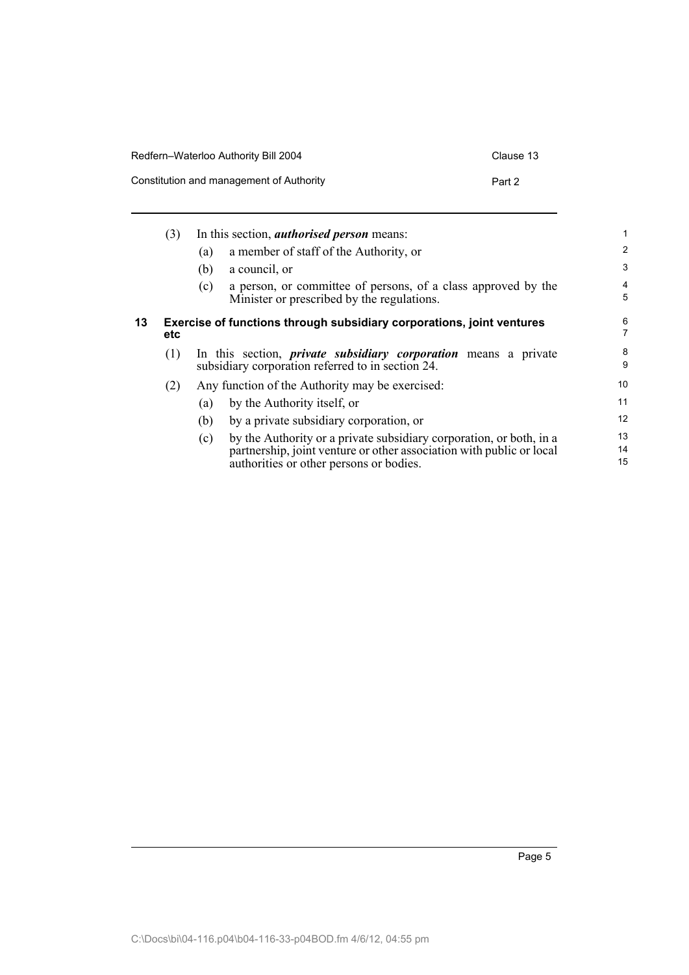| Redfern-Waterloo Authority Bill 2004     | Clause 13 |
|------------------------------------------|-----------|
| Constitution and management of Authority | Part 2    |

<span id="page-8-0"></span>

|    | (3) | In this section, <i>authorised person</i> means:                                                                                                   | 1                   |
|----|-----|----------------------------------------------------------------------------------------------------------------------------------------------------|---------------------|
|    |     | a member of staff of the Authority, or<br>(a)                                                                                                      | 2                   |
|    |     | (b)<br>a council, or                                                                                                                               | 3                   |
|    |     | a person, or committee of persons, of a class approved by the<br>(c)<br>Minister or prescribed by the regulations.                                 | 4<br>5              |
| 13 | etc | Exercise of functions through subsidiary corporations, joint ventures                                                                              | 6<br>$\overline{7}$ |
|    | (1) | In this section, <i>private</i> subsidiary <i>corporation</i> means a private<br>subsidiary corporation referred to in section 24.                 | 8<br>9              |
|    | (2) | Any function of the Authority may be exercised:                                                                                                    | 10                  |
|    |     | by the Authority itself, or<br>(a)                                                                                                                 | 11                  |
|    |     | (b)<br>by a private subsidiary corporation, or                                                                                                     | 12                  |
|    |     | by the Authority or a private subsidiary corporation, or both, in a<br>(c)<br>partnership, joint venture or other association with public or local | 13<br>14            |
|    |     | authorities or other persons or bodies.                                                                                                            | 15                  |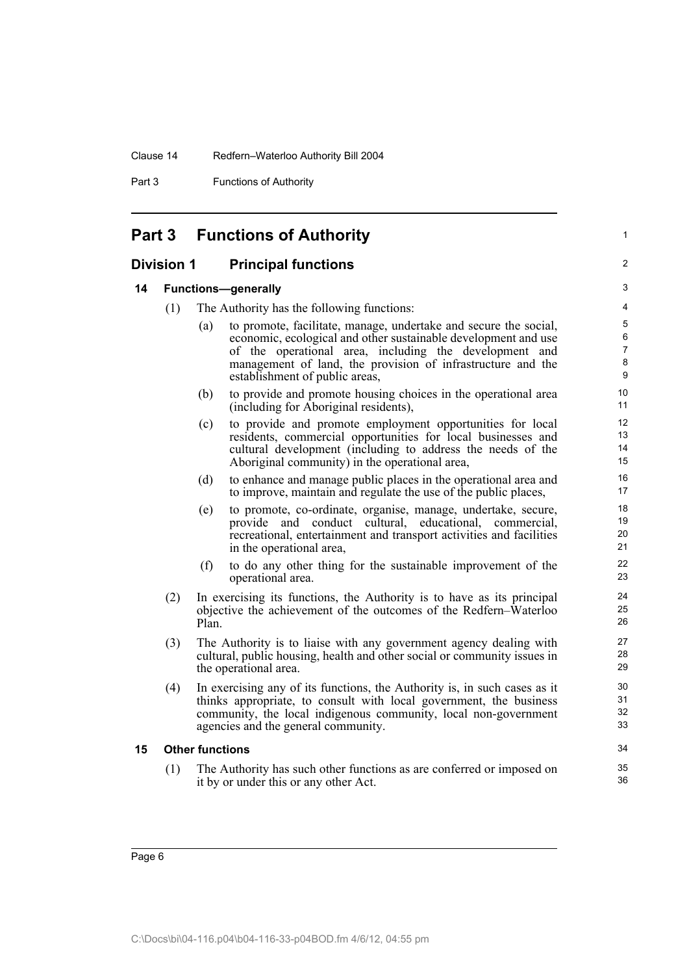#### Clause 14 Redfern–Waterloo Authority Bill 2004

Part 3 **Functions of Authority** 

## <span id="page-9-0"></span>**Part 3 Functions of Authority**

### <span id="page-9-1"></span>**Division 1 Principal functions**

#### <span id="page-9-2"></span>**14 Functions—generally**

- (1) The Authority has the following functions:
	- (a) to promote, facilitate, manage, undertake and secure the social, economic, ecological and other sustainable development and use of the operational area, including the development and management of land, the provision of infrastructure and the establishment of public areas,

1

 $\mathfrak{p}$ 

34 35 36

- (b) to provide and promote housing choices in the operational area (including for Aboriginal residents),
- (c) to provide and promote employment opportunities for local residents, commercial opportunities for local businesses and cultural development (including to address the needs of the Aboriginal community) in the operational area,
- (d) to enhance and manage public places in the operational area and to improve, maintain and regulate the use of the public places,
- (e) to promote, co-ordinate, organise, manage, undertake, secure, provide and conduct cultural, educational, commercial, recreational, entertainment and transport activities and facilities in the operational area,
- (f) to do any other thing for the sustainable improvement of the operational area.
- (2) In exercising its functions, the Authority is to have as its principal objective the achievement of the outcomes of the Redfern–Waterloo Plan.
- (3) The Authority is to liaise with any government agency dealing with cultural, public housing, health and other social or community issues in the operational area.
- (4) In exercising any of its functions, the Authority is, in such cases as it thinks appropriate, to consult with local government, the business community, the local indigenous community, local non-government agencies and the general community.

#### <span id="page-9-3"></span>**15 Other functions**

(1) The Authority has such other functions as are conferred or imposed on it by or under this or any other Act.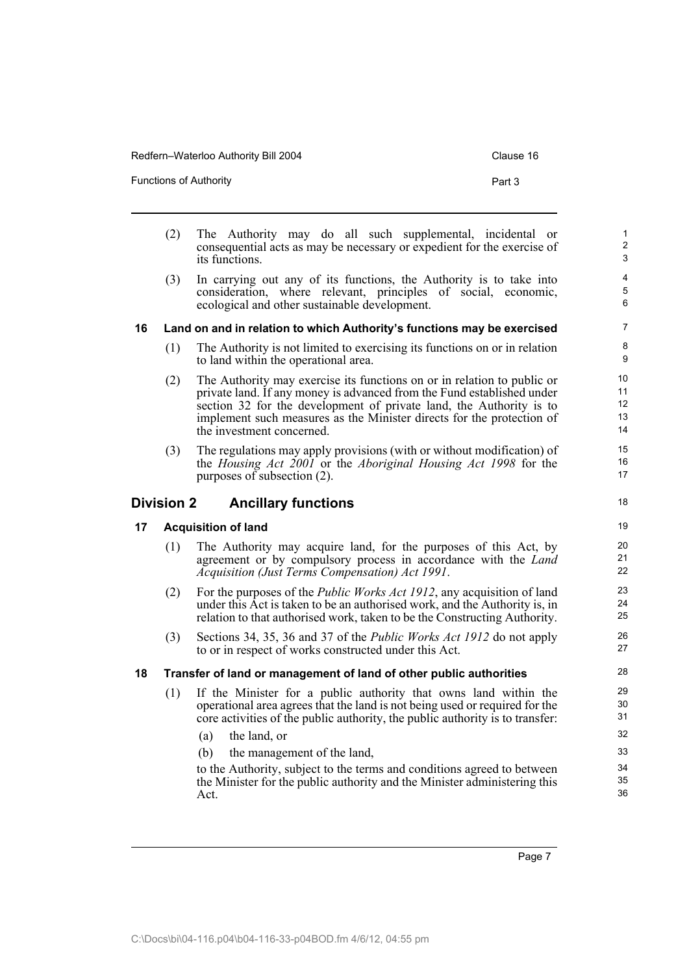Redfern–Waterloo Authority Bill 2004 Clause 16

Functions of Authority **Part 3** 

18

- (2) The Authority may do all such supplemental, incidental or consequential acts as may be necessary or expedient for the exercise of its functions.
- (3) In carrying out any of its functions, the Authority is to take into consideration, where relevant, principles of social, economic, ecological and other sustainable development.

### <span id="page-10-0"></span>**16 Land on and in relation to which Authority's functions may be exercised**

- (1) The Authority is not limited to exercising its functions on or in relation to land within the operational area.
- (2) The Authority may exercise its functions on or in relation to public or private land. If any money is advanced from the Fund established under section 32 for the development of private land, the Authority is to implement such measures as the Minister directs for the protection of the investment concerned.
- (3) The regulations may apply provisions (with or without modification) of the *Housing Act 2001* or the *Aboriginal Housing Act 1998* for the purposes of subsection (2).

## <span id="page-10-1"></span>**Division 2 Ancillary functions**

#### <span id="page-10-2"></span>**17 Acquisition of land**

- (1) The Authority may acquire land, for the purposes of this Act, by agreement or by compulsory process in accordance with the *Land Acquisition (Just Terms Compensation) Act 1991*.
- (2) For the purposes of the *Public Works Act 1912*, any acquisition of land under this Act is taken to be an authorised work, and the Authority is, in relation to that authorised work, taken to be the Constructing Authority.
- (3) Sections 34, 35, 36 and 37 of the *Public Works Act 1912* do not apply to or in respect of works constructed under this Act.

#### <span id="page-10-3"></span>**18 Transfer of land or management of land of other public authorities**

- (1) If the Minister for a public authority that owns land within the operational area agrees that the land is not being used or required for the core activities of the public authority, the public authority is to transfer:
	- (a) the land, or
	- (b) the management of the land,

to the Authority, subject to the terms and conditions agreed to between the Minister for the public authority and the Minister administering this Act.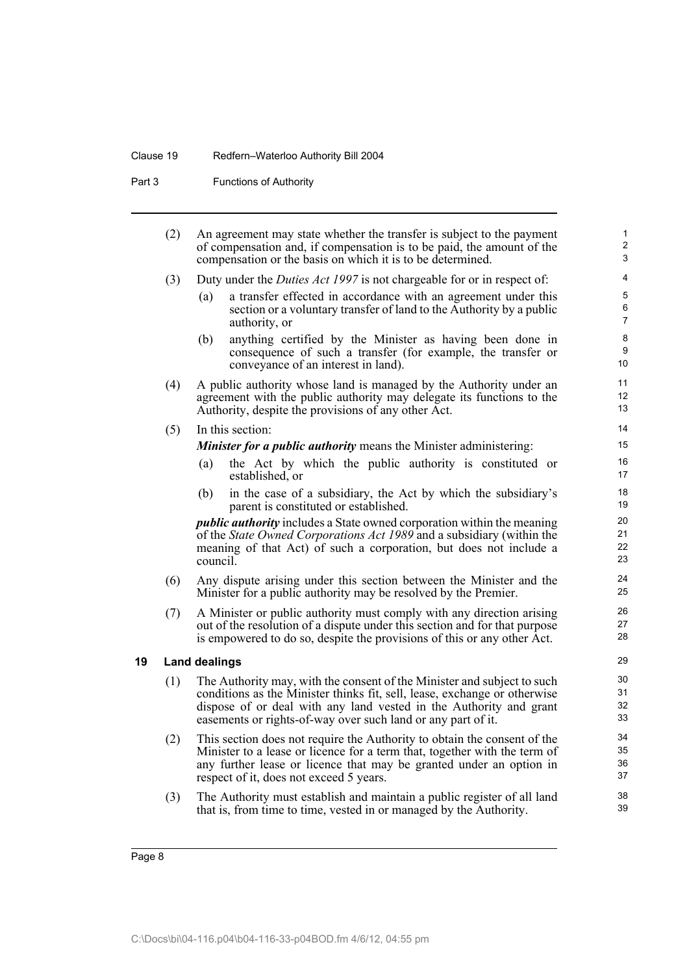## Clause 19 Redfern–Waterloo Authority Bill 2004

Part 3 **Functions of Authority** 

<span id="page-11-0"></span>

|    | (2) | An agreement may state whether the transfer is subject to the payment<br>of compensation and, if compensation is to be paid, the amount of the<br>compensation or the basis on which it is to be determined.                                                                               | $\mathbf{1}$<br>$\overline{2}$<br>3 |
|----|-----|--------------------------------------------------------------------------------------------------------------------------------------------------------------------------------------------------------------------------------------------------------------------------------------------|-------------------------------------|
|    | (3) | Duty under the <i>Duties Act 1997</i> is not chargeable for or in respect of:                                                                                                                                                                                                              | 4                                   |
|    |     | a transfer effected in accordance with an agreement under this<br>(a)<br>section or a voluntary transfer of land to the Authority by a public<br>authority, or                                                                                                                             | 5<br>6<br>$\overline{7}$            |
|    |     | anything certified by the Minister as having been done in<br>(b)<br>consequence of such a transfer (for example, the transfer or<br>conveyance of an interest in land).                                                                                                                    | 8<br>9<br>10                        |
|    | (4) | A public authority whose land is managed by the Authority under an<br>agreement with the public authority may delegate its functions to the<br>Authority, despite the provisions of any other Act.                                                                                         | 11<br>12<br>13                      |
|    | (5) | In this section:                                                                                                                                                                                                                                                                           | 14                                  |
|    |     | <b>Minister for a public authority means the Minister administering:</b>                                                                                                                                                                                                                   | 15                                  |
|    |     | the Act by which the public authority is constituted or<br>(a)<br>established, or                                                                                                                                                                                                          | 16<br>17                            |
|    |     | in the case of a subsidiary, the Act by which the subsidiary's<br>(b)<br>parent is constituted or established.                                                                                                                                                                             | 18<br>19                            |
|    |     | <i>public authority</i> includes a State owned corporation within the meaning<br>of the State Owned Corporations Act 1989 and a subsidiary (within the<br>meaning of that Act) of such a corporation, but does not include a<br>council.                                                   | 20<br>21<br>22<br>23                |
|    | (6) | Any dispute arising under this section between the Minister and the<br>Minister for a public authority may be resolved by the Premier.                                                                                                                                                     | 24<br>25                            |
|    | (7) | A Minister or public authority must comply with any direction arising<br>out of the resolution of a dispute under this section and for that purpose<br>is empowered to do so, despite the provisions of this or any other Act.                                                             | 26<br>27<br>28                      |
| 19 |     | <b>Land dealings</b>                                                                                                                                                                                                                                                                       | 29                                  |
|    | (1) | The Authority may, with the consent of the Minister and subject to such<br>conditions as the Minister thinks fit, sell, lease, exchange or otherwise<br>dispose of or deal with any land vested in the Authority and grant<br>easements or rights-of-way over such land or any part of it. | 30<br>31<br>32<br>33                |
|    | (2) | This section does not require the Authority to obtain the consent of the<br>Minister to a lease or licence for a term that, together with the term of<br>any further lease or licence that may be granted under an option in<br>respect of it, does not exceed 5 years.                    | 34<br>35<br>36<br>37                |
|    | (3) | The Authority must establish and maintain a public register of all land<br>that is, from time to time, vested in or managed by the Authority.                                                                                                                                              | 38<br>39                            |
|    |     |                                                                                                                                                                                                                                                                                            |                                     |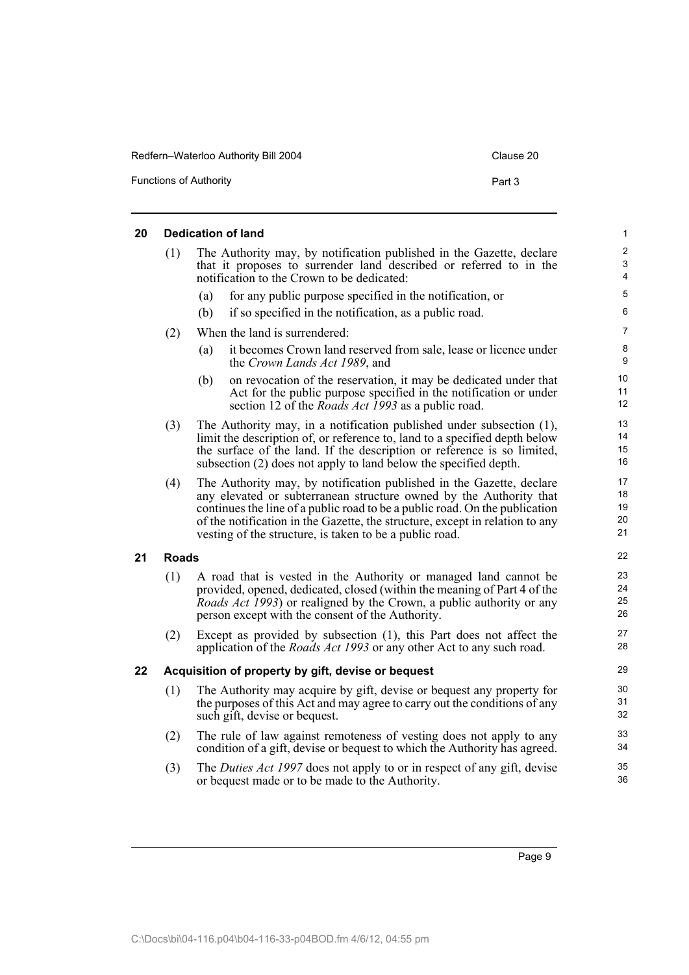<span id="page-12-0"></span>

| 20 |              | <b>Dedication of land</b>                                                                                                                                                                                                                                                                                                                                            | $\mathbf{1}$               |
|----|--------------|----------------------------------------------------------------------------------------------------------------------------------------------------------------------------------------------------------------------------------------------------------------------------------------------------------------------------------------------------------------------|----------------------------|
|    | (1)          | The Authority may, by notification published in the Gazette, declare<br>that it proposes to surrender land described or referred to in the<br>notification to the Crown to be dedicated:                                                                                                                                                                             | $\overline{2}$<br>3<br>4   |
|    |              | (a)<br>for any public purpose specified in the notification, or                                                                                                                                                                                                                                                                                                      | 5                          |
|    |              | (b)<br>if so specified in the notification, as a public road.                                                                                                                                                                                                                                                                                                        | 6                          |
|    | (2)          | When the land is surrendered:                                                                                                                                                                                                                                                                                                                                        | 7                          |
|    |              | it becomes Crown land reserved from sale, lease or licence under<br>(a)<br>the Crown Lands Act 1989, and                                                                                                                                                                                                                                                             | 8<br>9                     |
|    |              | on revocation of the reservation, it may be dedicated under that<br>(b)<br>Act for the public purpose specified in the notification or under<br>section 12 of the <i>Roads Act 1993</i> as a public road.                                                                                                                                                            | 10<br>11<br>12             |
|    | (3)          | The Authority may, in a notification published under subsection (1),<br>limit the description of, or reference to, land to a specified depth below<br>the surface of the land. If the description or reference is so limited,<br>subsection (2) does not apply to land below the specified depth.                                                                    | 13<br>14<br>15<br>16       |
|    | (4)          | The Authority may, by notification published in the Gazette, declare<br>any elevated or subterranean structure owned by the Authority that<br>continues the line of a public road to be a public road. On the publication<br>of the notification in the Gazette, the structure, except in relation to any<br>vesting of the structure, is taken to be a public road. | 17<br>18<br>19<br>20<br>21 |
| 21 | <b>Roads</b> |                                                                                                                                                                                                                                                                                                                                                                      | 22                         |
|    | (1)          | A road that is vested in the Authority or managed land cannot be<br>provided, opened, dedicated, closed (within the meaning of Part 4 of the<br><i>Roads Act 1993</i> ) or realigned by the Crown, a public authority or any<br>person except with the consent of the Authority.                                                                                     | 23<br>24<br>25<br>26       |
|    | (2)          | Except as provided by subsection (1), this Part does not affect the<br>application of the <i>Roads Act 1993</i> or any other Act to any such road.                                                                                                                                                                                                                   | 27<br>28                   |
| 22 |              | Acquisition of property by gift, devise or bequest                                                                                                                                                                                                                                                                                                                   | 29                         |
|    | (1)          | The Authority may acquire by gift, devise or bequest any property for<br>the purposes of this Act and may agree to carry out the conditions of any<br>such gift, devise or bequest.                                                                                                                                                                                  | 30<br>31<br>32             |
|    | (2)          | The rule of law against remoteness of vesting does not apply to any<br>condition of a gift, devise or bequest to which the Authority has agreed.                                                                                                                                                                                                                     | 33<br>34                   |
|    | (3)          | The Duties Act 1997 does not apply to or in respect of any gift, devise<br>or bequest made or to be made to the Authority                                                                                                                                                                                                                                            | 35<br>36                   |

Redfern–Waterloo Authority Bill 2004 Clause 20 Functions of Authority **Part 3** 

<span id="page-12-2"></span><span id="page-12-1"></span>or bequest made or to be made to the Authority.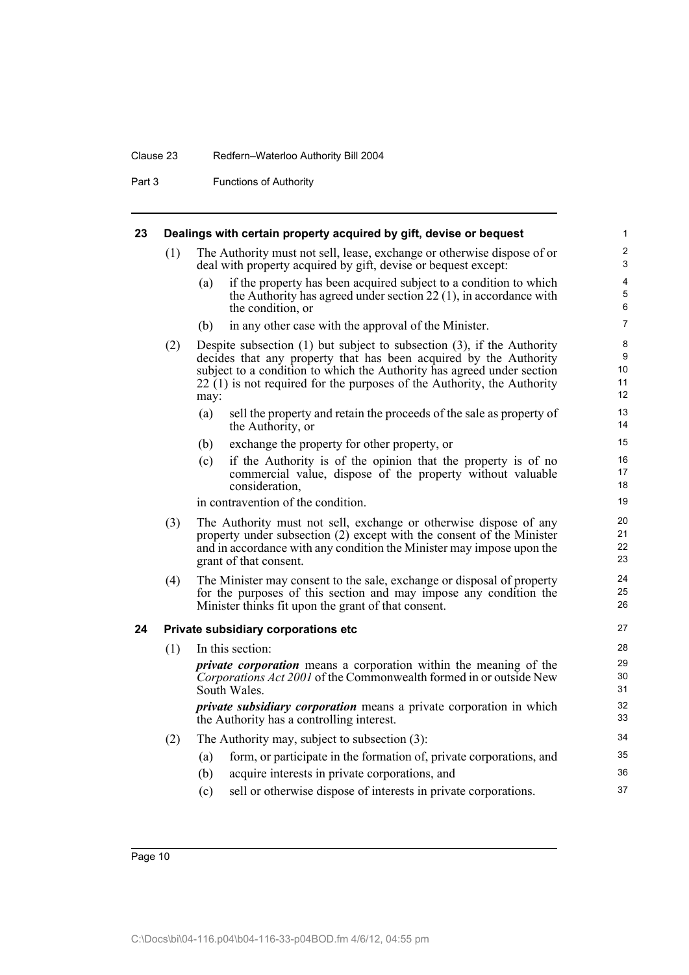#### Clause 23 Redfern–Waterloo Authority Bill 2004

Part 3 **Functions of Authority** 

#### <span id="page-13-1"></span><span id="page-13-0"></span>**23 Dealings with certain property acquired by gift, devise or bequest** (1) The Authority must not sell, lease, exchange or otherwise dispose of or deal with property acquired by gift, devise or bequest except: (a) if the property has been acquired subject to a condition to which the Authority has agreed under section 22 (1), in accordance with the condition, or (b) in any other case with the approval of the Minister. (2) Despite subsection (1) but subject to subsection (3), if the Authority decides that any property that has been acquired by the Authority subject to a condition to which the Authority has agreed under section 22 (1) is not required for the purposes of the Authority, the Authority may: (a) sell the property and retain the proceeds of the sale as property of the Authority, or (b) exchange the property for other property, or (c) if the Authority is of the opinion that the property is of no commercial value, dispose of the property without valuable consideration, in contravention of the condition. (3) The Authority must not sell, exchange or otherwise dispose of any property under subsection (2) except with the consent of the Minister and in accordance with any condition the Minister may impose upon the grant of that consent. (4) The Minister may consent to the sale, exchange or disposal of property for the purposes of this section and may impose any condition the Minister thinks fit upon the grant of that consent. **24 Private subsidiary corporations etc** (1) In this section: *private corporation* means a corporation within the meaning of the *Corporations Act 2001* of the Commonwealth formed in or outside New South Wales. *private subsidiary corporation* means a private corporation in which the Authority has a controlling interest. (2) The Authority may, subject to subsection (3): (a) form, or participate in the formation of, private corporations, and (b) acquire interests in private corporations, and (c) sell or otherwise dispose of interests in private corporations. 1  $\overline{2}$ 3 4 5 6 7 8 9 10 11 12 13 14 15 16 17 18 19 20 21 22 23 24 25 26 27 28 29 30 31 32 33 34 35 36 37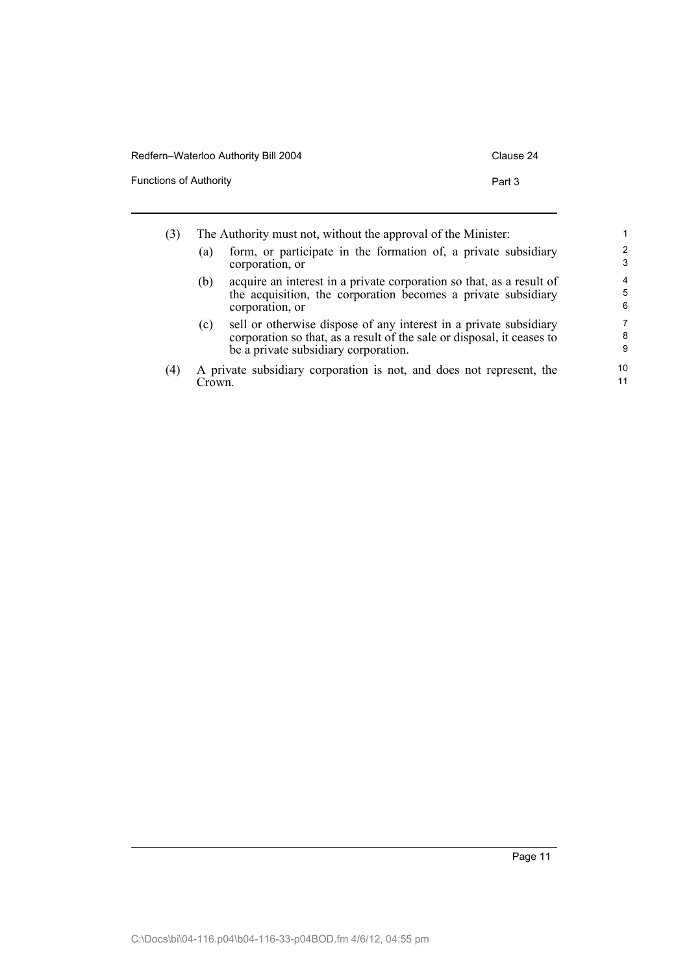| Redfern-Waterloo Authority Bill 2004 | Clause 24 |
|--------------------------------------|-----------|
| <b>Functions of Authority</b>        | Part 3    |
|                                      |           |

| (3) | The Authority must not, without the approval of the Minister: |                                                                                                                                                                                     |             |  |  |
|-----|---------------------------------------------------------------|-------------------------------------------------------------------------------------------------------------------------------------------------------------------------------------|-------------|--|--|
|     | (a)                                                           | form, or participate in the formation of, a private subsidiary<br>corporation, or                                                                                                   | 2<br>3      |  |  |
|     | (b)                                                           | acquire an interest in a private corporation so that, as a result of<br>the acquisition, the corporation becomes a private subsidiary<br>corporation, or                            | 4<br>5<br>6 |  |  |
|     | (c)                                                           | sell or otherwise dispose of any interest in a private subsidiary<br>corporation so that, as a result of the sale or disposal, it ceases to<br>be a private subsidiary corporation. | 7<br>8<br>9 |  |  |
| (4) | Crown.                                                        | A private subsidiary corporation is not, and does not represent, the                                                                                                                | 10<br>11    |  |  |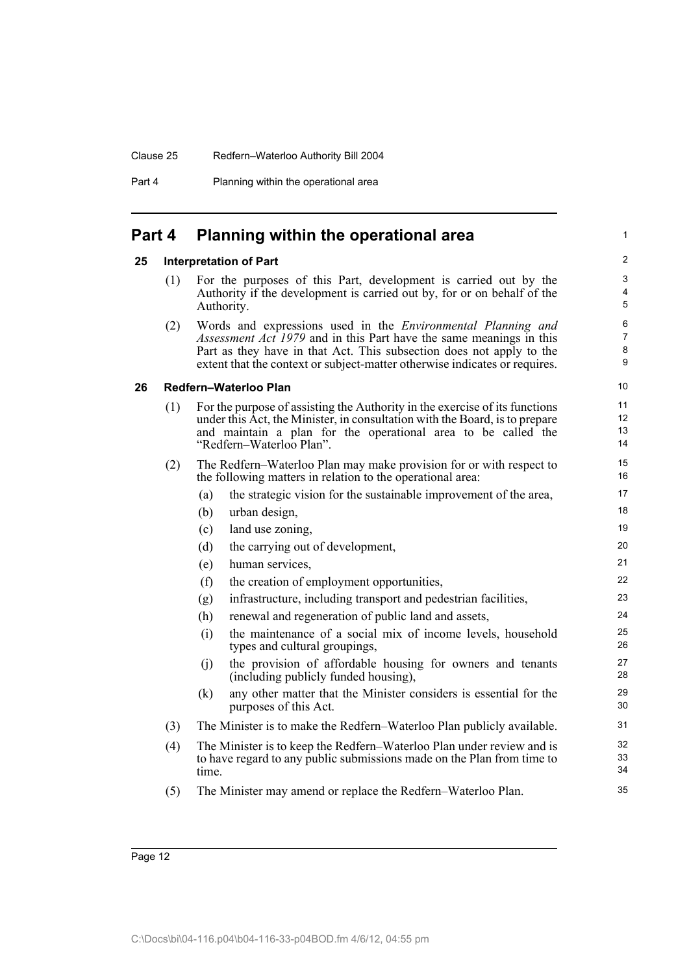#### Clause 25 Redfern–Waterloo Authority Bill 2004

Part 4 Planning within the operational area

## <span id="page-15-0"></span>**Part 4 Planning within the operational area**

#### <span id="page-15-1"></span>**25 Interpretation of Part**

(1) For the purposes of this Part, development is carried out by the Authority if the development is carried out by, for or on behalf of the Authority.

1

(2) Words and expressions used in the *Environmental Planning and Assessment Act 1979* and in this Part have the same meanings in this Part as they have in that Act. This subsection does not apply to the extent that the context or subject-matter otherwise indicates or requires.

#### <span id="page-15-2"></span>**26 Redfern–Waterloo Plan**

- (1) For the purpose of assisting the Authority in the exercise of its functions under this Act, the Minister, in consultation with the Board, is to prepare and maintain a plan for the operational area to be called the "Redfern–Waterloo Plan".
- (2) The Redfern–Waterloo Plan may make provision for or with respect to the following matters in relation to the operational area:
	- (a) the strategic vision for the sustainable improvement of the area,
	- (b) urban design,
	- (c) land use zoning,
	- (d) the carrying out of development,
	- (e) human services,
	- (f) the creation of employment opportunities,
	- (g) infrastructure, including transport and pedestrian facilities,
	- (h) renewal and regeneration of public land and assets,
	- (i) the maintenance of a social mix of income levels, household types and cultural groupings,
	- (j) the provision of affordable housing for owners and tenants (including publicly funded housing),
	- (k) any other matter that the Minister considers is essential for the purposes of this Act.
- (3) The Minister is to make the Redfern–Waterloo Plan publicly available.
- (4) The Minister is to keep the Redfern–Waterloo Plan under review and is to have regard to any public submissions made on the Plan from time to time.
- (5) The Minister may amend or replace the Redfern–Waterloo Plan.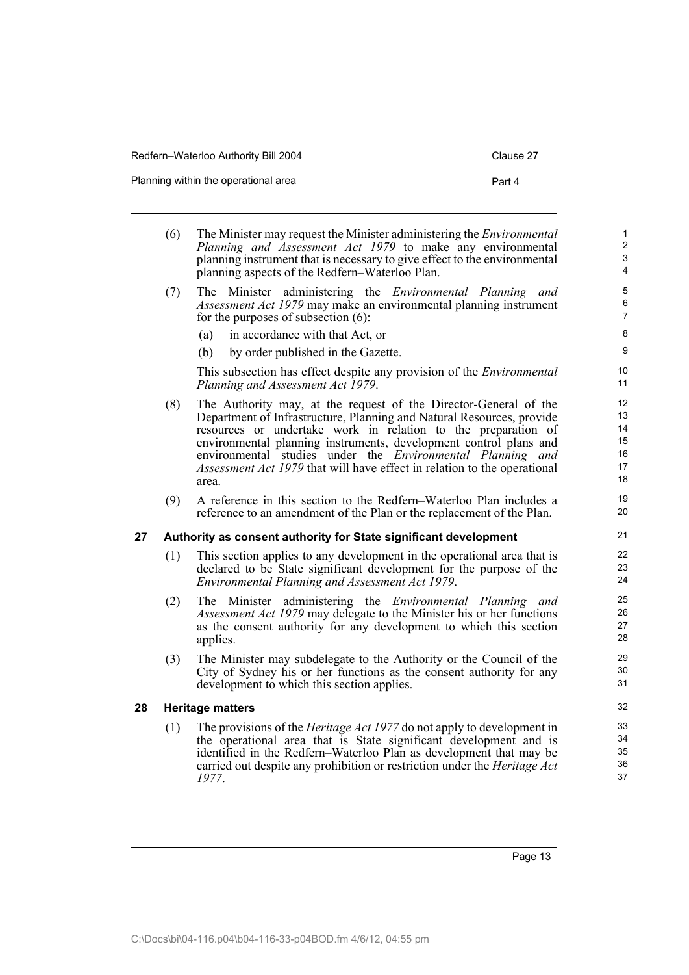Planning within the operational area **Part 4** Part 4

(6) The Minister may request the Minister administering the *Environmental Planning and Assessment Act 1979* to make any environmental planning instrument that is necessary to give effect to the environmental planning aspects of the Redfern–Waterloo Plan. (7) The Minister administering the *Environmental Planning and Assessment Act 1979* may make an environmental planning instrument for the purposes of subsection (6): (a) in accordance with that Act, or (b) by order published in the Gazette. This subsection has effect despite any provision of the *Environmental Planning and Assessment Act 1979*. (8) The Authority may, at the request of the Director-General of the Department of Infrastructure, Planning and Natural Resources, provide resources or undertake work in relation to the preparation of environmental planning instruments, development control plans and environmental studies under the *Environmental Planning and Assessment Act 1979* that will have effect in relation to the operational area. (9) A reference in this section to the Redfern–Waterloo Plan includes a reference to an amendment of the Plan or the replacement of the Plan. **27 Authority as consent authority for State significant development** (1) This section applies to any development in the operational area that is declared to be State significant development for the purpose of the *Environmental Planning and Assessment Act 1979*. (2) The Minister administering the *Environmental Planning and Assessment Act 1979* may delegate to the Minister his or her functions as the consent authority for any development to which this section applies. (3) The Minister may subdelegate to the Authority or the Council of the City of Sydney his or her functions as the consent authority for any development to which this section applies. 1 2 3 4 5 6 7 8 9 10 11 12 13 14 15 16 17 18 19  $20$ 21 22 23  $24$ 25 26 27 28 29 30 31 32 33

#### <span id="page-16-1"></span><span id="page-16-0"></span>**28 Heritage matters**

(1) The provisions of the *Heritage Act 1977* do not apply to development in the operational area that is State significant development and is identified in the Redfern–Waterloo Plan as development that may be carried out despite any prohibition or restriction under the *Heritage Act 1977*.

Page 13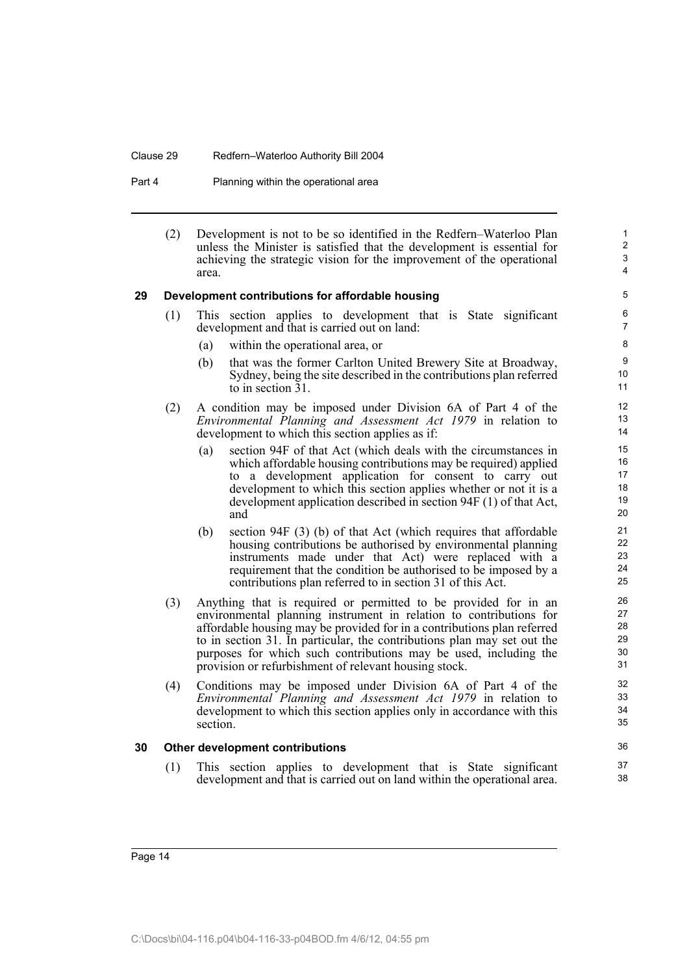#### Clause 29 Redfern–Waterloo Authority Bill 2004

Part 4 Planning within the operational area

(2) Development is not to be so identified in the Redfern–Waterloo Plan unless the Minister is satisfied that the development is essential for achieving the strategic vision for the improvement of the operational area.

#### <span id="page-17-0"></span>**29 Development contributions for affordable housing**

- (1) This section applies to development that is State significant development and that is carried out on land:
	- (a) within the operational area, or
	- (b) that was the former Carlton United Brewery Site at Broadway, Sydney, being the site described in the contributions plan referred to in section 31.
- (2) A condition may be imposed under Division 6A of Part 4 of the *Environmental Planning and Assessment Act 1979* in relation to development to which this section applies as if:
	- (a) section 94F of that Act (which deals with the circumstances in which affordable housing contributions may be required) applied to a development application for consent to carry out development to which this section applies whether or not it is a development application described in section 94F (1) of that Act, and
	- (b) section 94F (3) (b) of that Act (which requires that affordable housing contributions be authorised by environmental planning instruments made under that Act) were replaced with a requirement that the condition be authorised to be imposed by a contributions plan referred to in section 31 of this Act.
- (3) Anything that is required or permitted to be provided for in an environmental planning instrument in relation to contributions for affordable housing may be provided for in a contributions plan referred to in section 31. In particular, the contributions plan may set out the purposes for which such contributions may be used, including the provision or refurbishment of relevant housing stock.
- (4) Conditions may be imposed under Division 6A of Part 4 of the *Environmental Planning and Assessment Act 1979* in relation to development to which this section applies only in accordance with this section.

#### <span id="page-17-1"></span>**30 Other development contributions**

(1) This section applies to development that is State significant development and that is carried out on land within the operational area.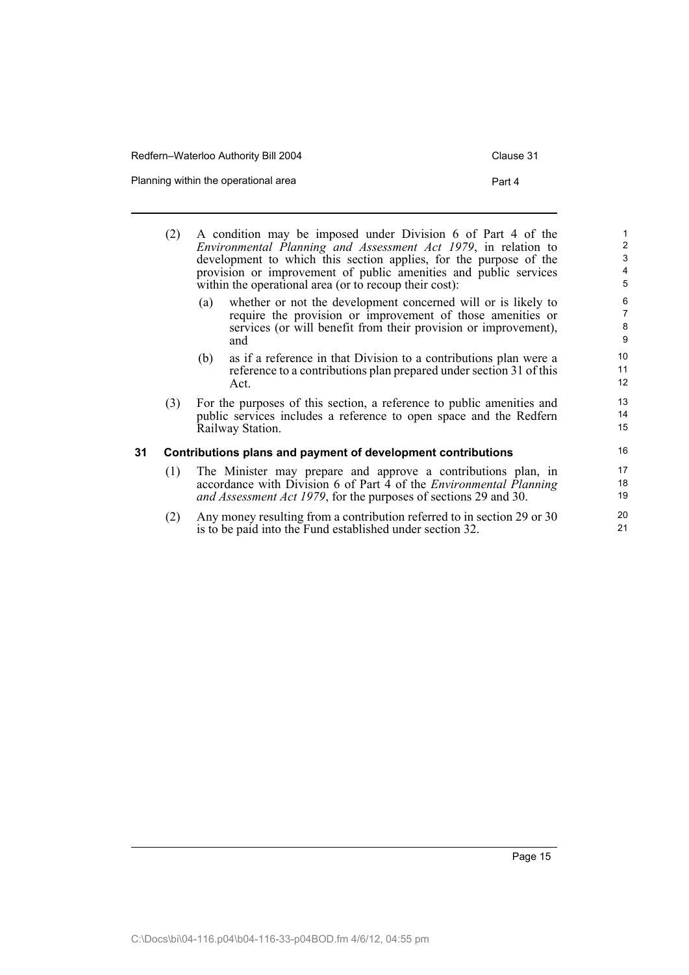<span id="page-18-0"></span>

|    | (2) | A condition may be imposed under Division 6 of Part 4 of the<br><i>Environmental Planning and Assessment Act 1979</i> , in relation to<br>development to which this section applies, for the purpose of the<br>provision or improvement of public amenities and public services<br>within the operational area (or to recoup their cost): | $\mathbf{1}$<br>$\overline{c}$<br>$\mathsf 3$<br>$\overline{4}$<br>$\overline{5}$ |
|----|-----|-------------------------------------------------------------------------------------------------------------------------------------------------------------------------------------------------------------------------------------------------------------------------------------------------------------------------------------------|-----------------------------------------------------------------------------------|
|    |     | whether or not the development concerned will or is likely to<br>(a)<br>require the provision or improvement of those amenities or<br>services (or will benefit from their provision or improvement),<br>and                                                                                                                              | 6<br>$\overline{7}$<br>$\bf 8$<br>9                                               |
|    |     | as if a reference in that Division to a contributions plan were a<br>(b)<br>reference to a contributions plan prepared under section 31 of this<br>Act.                                                                                                                                                                                   | 10<br>11<br>12                                                                    |
|    | (3) | For the purposes of this section, a reference to public amenities and<br>public services includes a reference to open space and the Redfern<br>Railway Station.                                                                                                                                                                           | 13<br>14<br>15                                                                    |
| 31 |     | Contributions plans and payment of development contributions                                                                                                                                                                                                                                                                              | 16                                                                                |
|    | (1) | The Minister may prepare and approve a contributions plan, in<br>accordance with Division 6 of Part 4 of the <i>Environmental Planning</i><br>and Assessment Act 1979, for the purposes of sections 29 and 30.                                                                                                                            | 17<br>18<br>19                                                                    |
|    | (2) | Any money resulting from a contribution referred to in section 29 or 30<br>is to be paid into the Fund established under section 32.                                                                                                                                                                                                      | 20<br>21                                                                          |
|    |     |                                                                                                                                                                                                                                                                                                                                           |                                                                                   |

Planning within the operational area **Part 4** Part 4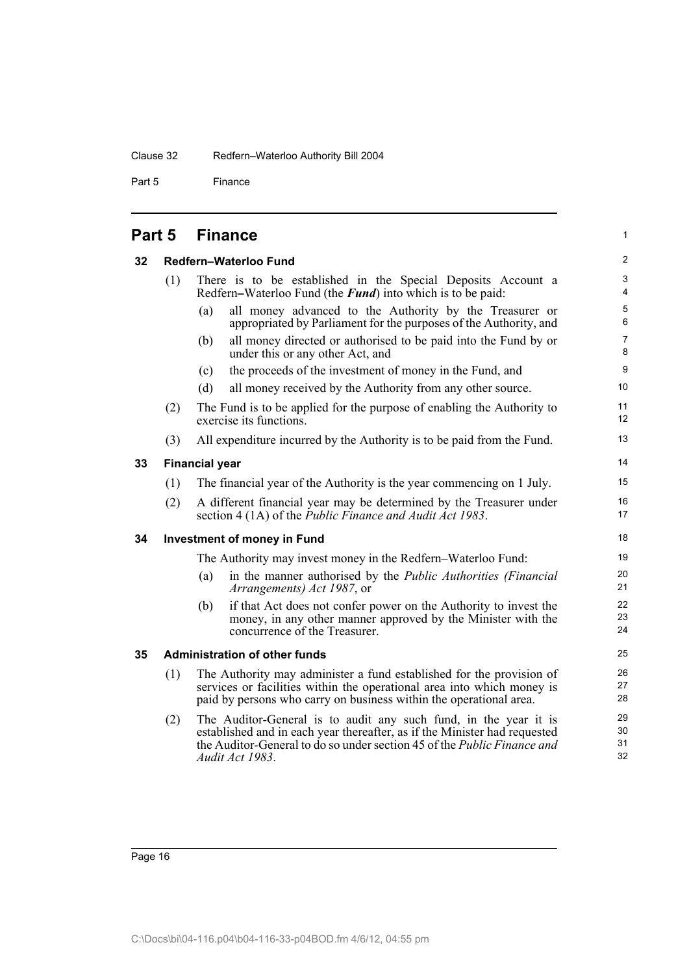#### Clause 32 Redfern–Waterloo Authority Bill 2004

Part 5 Finance

<span id="page-19-1"></span><span id="page-19-0"></span>

| Part 5 |     | <b>Finance</b>                                                                                                                      |  |  |  |  |
|--------|-----|-------------------------------------------------------------------------------------------------------------------------------------|--|--|--|--|
| 32     |     | <b>Redfern-Waterloo Fund</b>                                                                                                        |  |  |  |  |
|        | (1) | There is to be established in the Special Deposits Account a<br>Redfern-Waterloo Fund (the <b>Fund</b> ) into which is to be paid:  |  |  |  |  |
|        |     | all money advanced to the Authority by the Treasurer or<br>(a)<br>appropriated by Parliament for the purposes of the Authority, and |  |  |  |  |
|        |     | all money directed or authorised to be paid into the Fund by or<br>(b)<br>under this or any other Act, and                          |  |  |  |  |
|        |     | the proceeds of the investment of money in the Fund, and<br>(c)                                                                     |  |  |  |  |
|        |     | (d)<br>all money received by the Authority from any other source.                                                                   |  |  |  |  |
|        | (2) | The Fund is to be applied for the purpose of enabling the Authority to<br>exercise its functions.                                   |  |  |  |  |
|        | (3) | All expenditure incurred by the Authority is to be paid from the Fund.                                                              |  |  |  |  |
| 33     |     | <b>Financial year</b>                                                                                                               |  |  |  |  |
|        | (1) | The financial year of the Authority is the year commencing on 1 July                                                                |  |  |  |  |

| (1) |  |  | The financial year of the Authority is the year commencing on 1 July. |  |
|-----|--|--|-----------------------------------------------------------------------|--|
|     |  |  |                                                                       |  |

(2) A different financial year may be determined by the Treasurer under section 4 (1A) of the *Public Finance and Audit Act 1983*.

### <span id="page-19-3"></span><span id="page-19-2"></span>**34 Investment of money in Fund**

The Authority may invest money in the Redfern–Waterloo Fund:

(a) in the manner authorised by the *Public Authorities (Financial Arrangements) Act 1987*, or

1

(b) if that Act does not confer power on the Authority to invest the money, in any other manner approved by the Minister with the concurrence of the Treasurer.

#### <span id="page-19-4"></span>**35 Administration of other funds**

- (1) The Authority may administer a fund established for the provision of services or facilities within the operational area into which money is paid by persons who carry on business within the operational area.
- (2) The Auditor-General is to audit any such fund, in the year it is established and in each year thereafter, as if the Minister had requested the Auditor-General to do so under section 45 of the *Public Finance and Audit Act 1983*.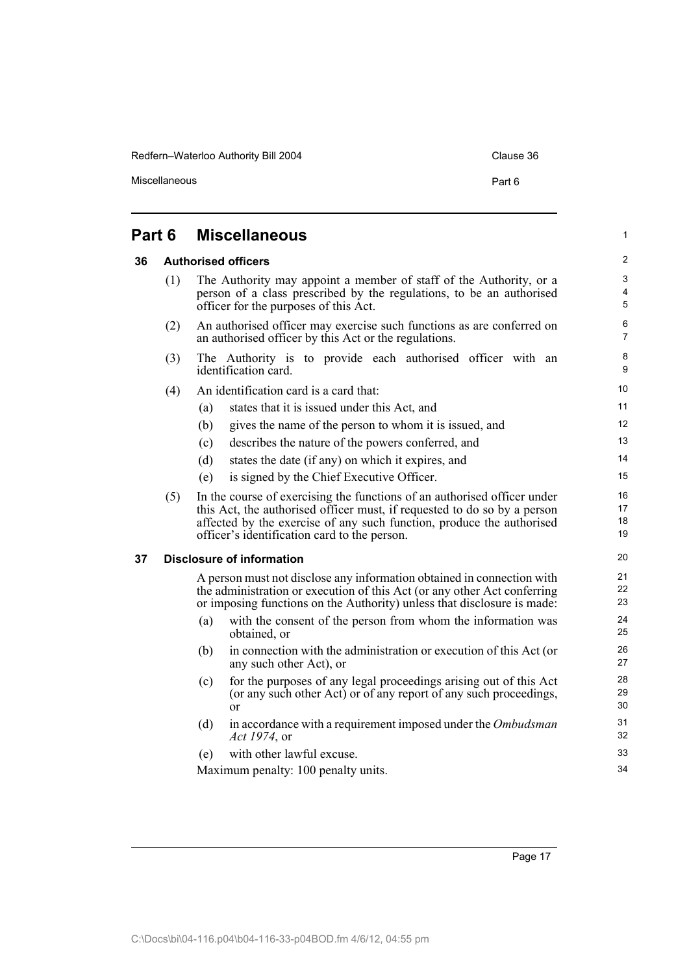Redfern–Waterloo Authority Bill 2004 Clause 36

Miscellaneous **Part 6** 

#### <span id="page-20-2"></span><span id="page-20-1"></span><span id="page-20-0"></span>**Part 6 Miscellaneous 36 Authorised officers** (1) The Authority may appoint a member of staff of the Authority, or a person of a class prescribed by the regulations, to be an authorised officer for the purposes of this Act. (2) An authorised officer may exercise such functions as are conferred on an authorised officer by this Act or the regulations. (3) The Authority is to provide each authorised officer with an identification card. (4) An identification card is a card that: (a) states that it is issued under this Act, and (b) gives the name of the person to whom it is issued, and (c) describes the nature of the powers conferred, and (d) states the date (if any) on which it expires, and (e) is signed by the Chief Executive Officer. (5) In the course of exercising the functions of an authorised officer under this Act, the authorised officer must, if requested to do so by a person affected by the exercise of any such function, produce the authorised officer's identification card to the person. **37 Disclosure of information** A person must not disclose any information obtained in connection with the administration or execution of this Act (or any other Act conferring or imposing functions on the Authority) unless that disclosure is made: (a) with the consent of the person from whom the information was obtained, or (b) in connection with the administration or execution of this Act (or any such other Act), or (c) for the purposes of any legal proceedings arising out of this Act (or any such other Act) or of any report of any such proceedings, or (d) in accordance with a requirement imposed under the *Ombudsman Act 1974*, or (e) with other lawful excuse. Maximum penalty: 100 penalty units. 1 2 3 4 5 6 7 8 9 10 11 12 13 14 15 16 17 18 19 20 21 22 23  $24$ 25 26 27 28 29 30 31 32 33 34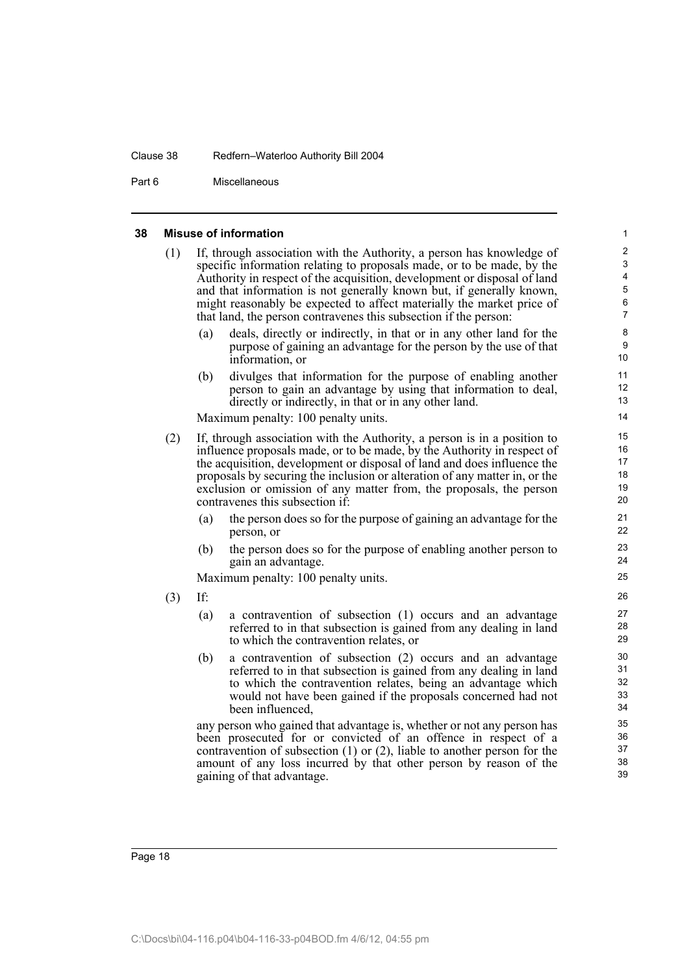#### Clause 38 Redfern–Waterloo Authority Bill 2004

Part 6 Miscellaneous

#### <span id="page-21-0"></span>**38 Misuse of information**

- (1) If, through association with the Authority, a person has knowledge of specific information relating to proposals made, or to be made, by the Authority in respect of the acquisition, development or disposal of land and that information is not generally known but, if generally known, might reasonably be expected to affect materially the market price of that land, the person contravenes this subsection if the person:
	- (a) deals, directly or indirectly, in that or in any other land for the purpose of gaining an advantage for the person by the use of that information, or

(b) divulges that information for the purpose of enabling another person to gain an advantage by using that information to deal, directly or indirectly, in that or in any other land.

Maximum penalty: 100 penalty units.

- (2) If, through association with the Authority, a person is in a position to influence proposals made, or to be made, by the Authority in respect of the acquisition, development or disposal of land and does influence the proposals by securing the inclusion or alteration of any matter in, or the exclusion or omission of any matter from, the proposals, the person contravenes this subsection if:
	- (a) the person does so for the purpose of gaining an advantage for the person, or
	- (b) the person does so for the purpose of enabling another person to gain an advantage.

Maximum penalty: 100 penalty units.

- (3) If:
	- (a) a contravention of subsection (1) occurs and an advantage referred to in that subsection is gained from any dealing in land to which the contravention relates, or
	- (b) a contravention of subsection (2) occurs and an advantage referred to in that subsection is gained from any dealing in land to which the contravention relates, being an advantage which would not have been gained if the proposals concerned had not been influenced,

any person who gained that advantage is, whether or not any person has been prosecuted for or convicted of an offence in respect of a contravention of subsection (1) or (2), liable to another person for the amount of any loss incurred by that other person by reason of the gaining of that advantage.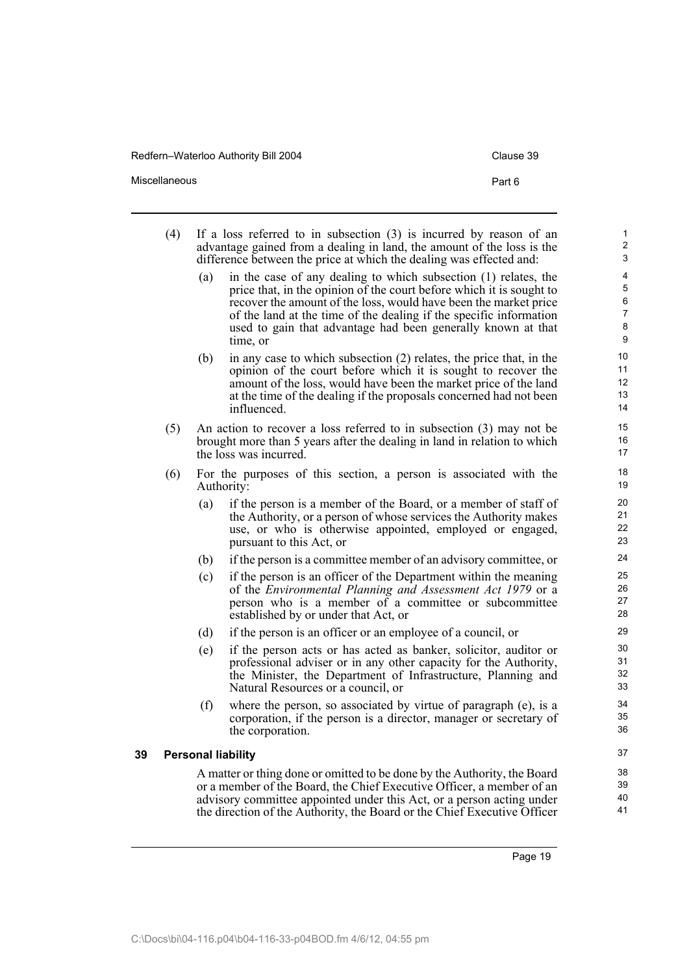Miscellaneous **Part 6** 

<span id="page-22-0"></span>

| (4) |     | If a loss referred to in subsection $(3)$ is incurred by reason of an<br>advantage gained from a dealing in land, the amount of the loss is the<br>difference between the price at which the dealing was effected and:                                                                                                                                        |
|-----|-----|---------------------------------------------------------------------------------------------------------------------------------------------------------------------------------------------------------------------------------------------------------------------------------------------------------------------------------------------------------------|
|     | (a) | in the case of any dealing to which subsection (1) relates, the<br>price that, in the opinion of the court before which it is sought to<br>recover the amount of the loss, would have been the market price<br>of the land at the time of the dealing if the specific information<br>used to gain that advantage had been generally known at that<br>time, or |
|     | (b) | in any case to which subsection (2) relates, the price that, in the<br>opinion of the court before which it is sought to recover the<br>amount of the loss, would have been the market price of the land<br>at the time of the dealing if the proposals concerned had not been<br>influenced.                                                                 |
| (5) |     | An action to recover a loss referred to in subsection $(3)$ may not be<br>brought more than 5 years after the dealing in land in relation to which<br>the loss was incurred.                                                                                                                                                                                  |
| (6) |     | For the purposes of this section, a person is associated with the<br>Authority:                                                                                                                                                                                                                                                                               |
|     | (a) | if the person is a member of the Board, or a member of staff of<br>the Authority, or a person of whose services the Authority makes<br>use, or who is otherwise appointed, employed or engaged,<br>pursuant to this Act, or                                                                                                                                   |
|     | (b) | if the person is a committee member of an advisory committee, or                                                                                                                                                                                                                                                                                              |
|     | (c) | if the person is an officer of the Department within the meaning<br>of the Environmental Planning and Assessment Act 1979 or a<br>person who is a member of a committee or subcommittee<br>established by or under that Act, or                                                                                                                               |
|     | (d) | if the person is an officer or an employee of a council, or                                                                                                                                                                                                                                                                                                   |
|     | (e) | if the person acts or has acted as banker, solicitor, auditor or<br>professional adviser or in any other capacity for the Authority,<br>the Minister, the Department of Infrastructure, Planning and<br>Natural Resources or a council, or                                                                                                                    |
|     | (f) | where the person, so associated by virtue of paragraph (e), is a<br>corporation, if the person is a director, manager or secretary of<br>the corporation.                                                                                                                                                                                                     |
|     |     | <b>Personal liability</b>                                                                                                                                                                                                                                                                                                                                     |
|     |     | A matter or thing done or omitted to be done by the Authority, the Board<br>or a member of the Board, the Chief Executive Officer, a member of an<br>advisory committee appointed under this Act, or a person acting under<br>the direction of the Authority, the Board or the Chief Executive Officer                                                        |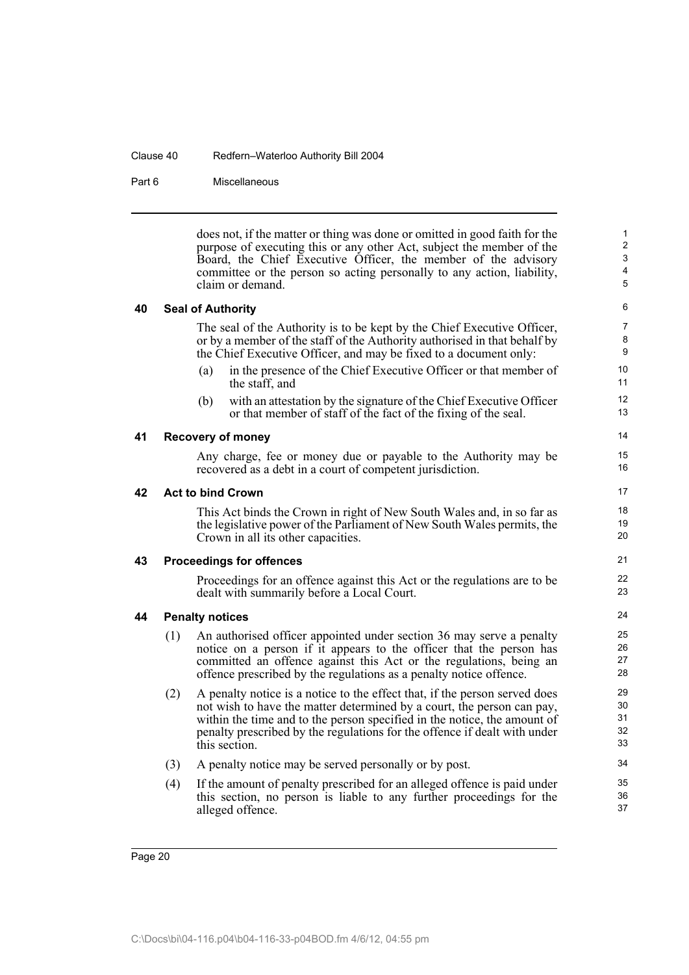#### Clause 40 Redfern–Waterloo Authority Bill 2004

Part 6 Miscellaneous

does not, if the matter or thing was done or omitted in good faith for the purpose of executing this or any other Act, subject the member of the Board, the Chief Executive Officer, the member of the advisory committee or the person so acting personally to any action, liability, claim or demand.

21 22 23

#### <span id="page-23-0"></span>**40 Seal of Authority**

The seal of the Authority is to be kept by the Chief Executive Officer, or by a member of the staff of the Authority authorised in that behalf by the Chief Executive Officer, and may be fixed to a document only:

- (a) in the presence of the Chief Executive Officer or that member of the staff, and
- (b) with an attestation by the signature of the Chief Executive Officer or that member of staff of the fact of the fixing of the seal.

#### <span id="page-23-1"></span>**41 Recovery of money**

Any charge, fee or money due or payable to the Authority may be recovered as a debt in a court of competent jurisdiction.

#### <span id="page-23-2"></span>**42 Act to bind Crown**

This Act binds the Crown in right of New South Wales and, in so far as the legislative power of the Parliament of New South Wales permits, the Crown in all its other capacities.

#### <span id="page-23-3"></span>**43 Proceedings for offences**

Proceedings for an offence against this Act or the regulations are to be dealt with summarily before a Local Court.

#### <span id="page-23-4"></span>**44 Penalty notices**

- (1) An authorised officer appointed under section 36 may serve a penalty notice on a person if it appears to the officer that the person has committed an offence against this Act or the regulations, being an offence prescribed by the regulations as a penalty notice offence.
- (2) A penalty notice is a notice to the effect that, if the person served does not wish to have the matter determined by a court, the person can pay, within the time and to the person specified in the notice, the amount of penalty prescribed by the regulations for the offence if dealt with under this section.
- (3) A penalty notice may be served personally or by post.
- (4) If the amount of penalty prescribed for an alleged offence is paid under this section, no person is liable to any further proceedings for the alleged offence.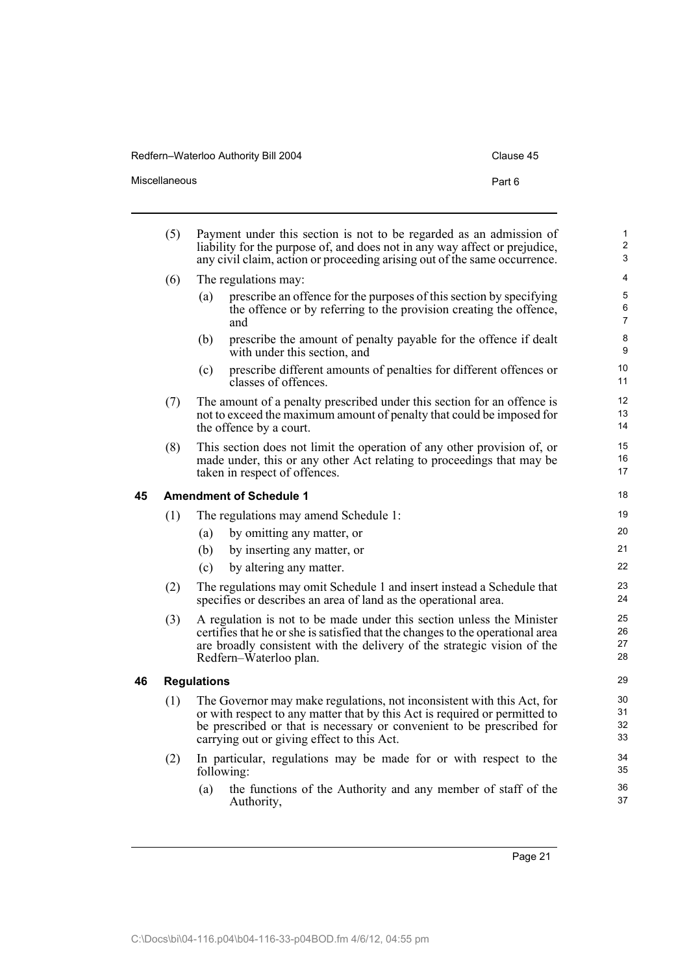#### Redfern–Waterloo Authority Bill 2004 Clause 45

| Miscellaneous |     | Part 6                                                                                                                                                                                                                         |                                    |
|---------------|-----|--------------------------------------------------------------------------------------------------------------------------------------------------------------------------------------------------------------------------------|------------------------------------|
| (5)           |     | Payment under this section is not to be regarded as an admission of<br>liability for the purpose of, and does not in any way affect or prejudice,<br>any civil claim, action or proceeding arising out of the same occurrence. | 1<br>$\overline{c}$<br>$\mathsf 3$ |
| (6)           |     | The regulations may:                                                                                                                                                                                                           | $\overline{\mathbf{4}}$            |
|               | (a) | prescribe an offence for the purposes of this section by specifying<br>the offence or by referring to the provision creating the offence,<br>and                                                                               | 5<br>$\,6\,$<br>$\overline{7}$     |
|               | (b) | prescribe the amount of penalty payable for the offence if dealt<br>with under this section, and                                                                                                                               | 8<br>9                             |
|               | (c) | prescribe different amounts of penalties for different offences or<br>classes of offences.                                                                                                                                     | 10<br>11                           |
| (7)           |     | The amount of a penalty prescribed under this section for an offence is<br>not to exceed the maximum amount of penalty that could be imposed for<br>the offence by a court.                                                    | 12<br>13<br>14                     |
| (8)           |     | This section does not limit the operation of any other provision of, or<br>made under, this or any other Act relating to proceedings that may be<br>taken in respect of offences.                                              | 15<br>16<br>17                     |
| <b>AR</b>     |     | Amondmont of Schodulo 1                                                                                                                                                                                                        | 18                                 |

#### <span id="page-24-0"></span>**45 Amendment of Schedule 1**

| (1) | The regulations may amend Schedule 1: |  |
|-----|---------------------------------------|--|
|-----|---------------------------------------|--|

- (a) by omitting any matter, or
- (b) by inserting any matter, or
- (c) by altering any matter.
- (2) The regulations may omit Schedule 1 and insert instead a Schedule that specifies or describes an area of land as the operational area.
- (3) A regulation is not to be made under this section unless the Minister certifies that he or she is satisfied that the changes to the operational area are broadly consistent with the delivery of the strategic vision of the Redfern–Waterloo plan.

#### <span id="page-24-1"></span>**46 Regulations**

- (1) The Governor may make regulations, not inconsistent with this Act, for or with respect to any matter that by this Act is required or permitted to be prescribed or that is necessary or convenient to be prescribed for carrying out or giving effect to this Act.
- (2) In particular, regulations may be made for or with respect to the following:
	- (a) the functions of the Authority and any member of staff of the Authority,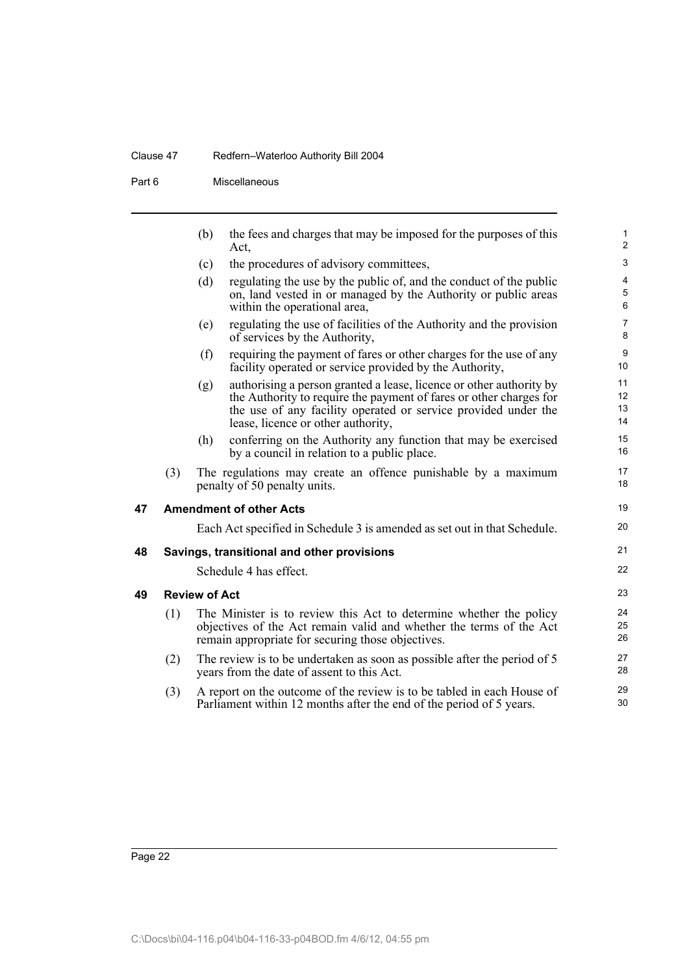## Clause 47 Redfern–Waterloo Authority Bill 2004

Part 6 Miscellaneous

<span id="page-25-2"></span><span id="page-25-1"></span><span id="page-25-0"></span>

|    |     | (b)                  | the fees and charges that may be imposed for the purposes of this<br>Act,                                                                                                                                                                         | $\mathbf{1}$<br>$\overline{2}$ |
|----|-----|----------------------|---------------------------------------------------------------------------------------------------------------------------------------------------------------------------------------------------------------------------------------------------|--------------------------------|
|    |     | (c)                  | the procedures of advisory committees,                                                                                                                                                                                                            | 3                              |
|    |     | (d)                  | regulating the use by the public of, and the conduct of the public<br>on, land vested in or managed by the Authority or public areas<br>within the operational area,                                                                              | $\overline{4}$<br>5<br>6       |
|    |     | (e)                  | regulating the use of facilities of the Authority and the provision<br>of services by the Authority,                                                                                                                                              | $\overline{7}$<br>8            |
|    |     | (f)                  | requiring the payment of fares or other charges for the use of any<br>facility operated or service provided by the Authority,                                                                                                                     | 9<br>10                        |
|    |     | (g)                  | authorising a person granted a lease, licence or other authority by<br>the Authority to require the payment of fares or other charges for<br>the use of any facility operated or service provided under the<br>lease, licence or other authority, | 11<br>12<br>13<br>14           |
|    |     | (h)                  | conferring on the Authority any function that may be exercised<br>by a council in relation to a public place.                                                                                                                                     | 15<br>16                       |
|    | (3) |                      | The regulations may create an offence punishable by a maximum<br>penalty of 50 penalty units.                                                                                                                                                     | 17<br>18                       |
| 47 |     |                      | <b>Amendment of other Acts</b>                                                                                                                                                                                                                    | 19                             |
|    |     |                      | Each Act specified in Schedule 3 is amended as set out in that Schedule.                                                                                                                                                                          | 20                             |
| 48 |     |                      | Savings, transitional and other provisions                                                                                                                                                                                                        | 21                             |
|    |     |                      | Schedule 4 has effect.                                                                                                                                                                                                                            | 22                             |
| 49 |     | <b>Review of Act</b> |                                                                                                                                                                                                                                                   | 23                             |
|    | (1) |                      | The Minister is to review this Act to determine whether the policy<br>objectives of the Act remain valid and whether the terms of the Act<br>remain appropriate for securing those objectives.                                                    | 24<br>25<br>26                 |
|    | (2) |                      | The review is to be undertaken as soon as possible after the period of 5<br>years from the date of assent to this Act.                                                                                                                            | 27<br>28                       |
|    | (3) |                      | A report on the outcome of the review is to be tabled in each House of<br>Parliament within 12 months after the end of the period of 5 years.                                                                                                     | 29<br>30                       |
|    |     |                      |                                                                                                                                                                                                                                                   |                                |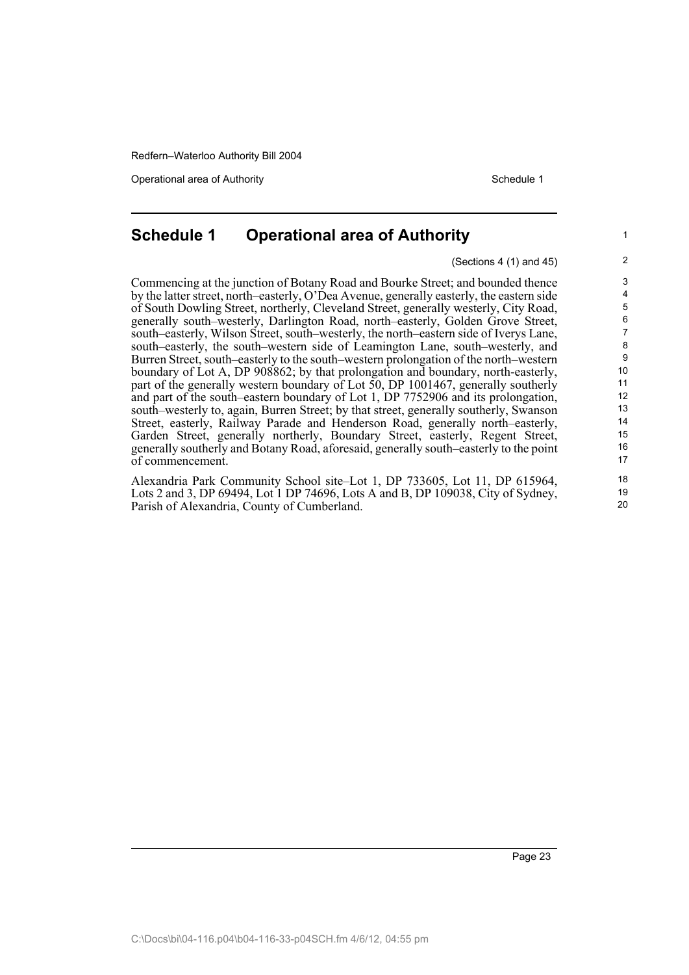Operational area of Authority **Schedule 1** and 2008 and 2008 and 2008 and 2008 and 2008 and 2008 and 2008 and 20

1

## <span id="page-26-0"></span>**Schedule 1 Operational area of Authority**

(Sections 4 (1) and 45)

Commencing at the junction of Botany Road and Bourke Street; and bounded thence by the latter street, north–easterly, O'Dea Avenue, generally easterly, the eastern side of South Dowling Street, northerly, Cleveland Street, generally westerly, City Road, generally south–westerly, Darlington Road, north–easterly, Golden Grove Street, south–easterly, Wilson Street, south–westerly, the north–eastern side of Iverys Lane, south–easterly, the south–western side of Leamington Lane, south–westerly, and Burren Street, south–easterly to the south–western prolongation of the north–western boundary of Lot A, DP 908862; by that prolongation and boundary, north-easterly, part of the generally western boundary of Lot 50, DP 1001467, generally southerly and part of the south–eastern boundary of Lot 1, DP 7752906 and its prolongation, south–westerly to, again, Burren Street; by that street, generally southerly, Swanson Street, easterly, Railway Parade and Henderson Road, generally north–easterly, Garden Street, generally northerly, Boundary Street, easterly, Regent Street, generally southerly and Botany Road, aforesaid, generally south–easterly to the point of commencement.

Alexandria Park Community School site–Lot 1, DP 733605, Lot 11, DP 615964, Lots 2 and 3, DP 69494, Lot 1 DP 74696, Lots A and B, DP 109038, City of Sydney, Parish of Alexandria, County of Cumberland.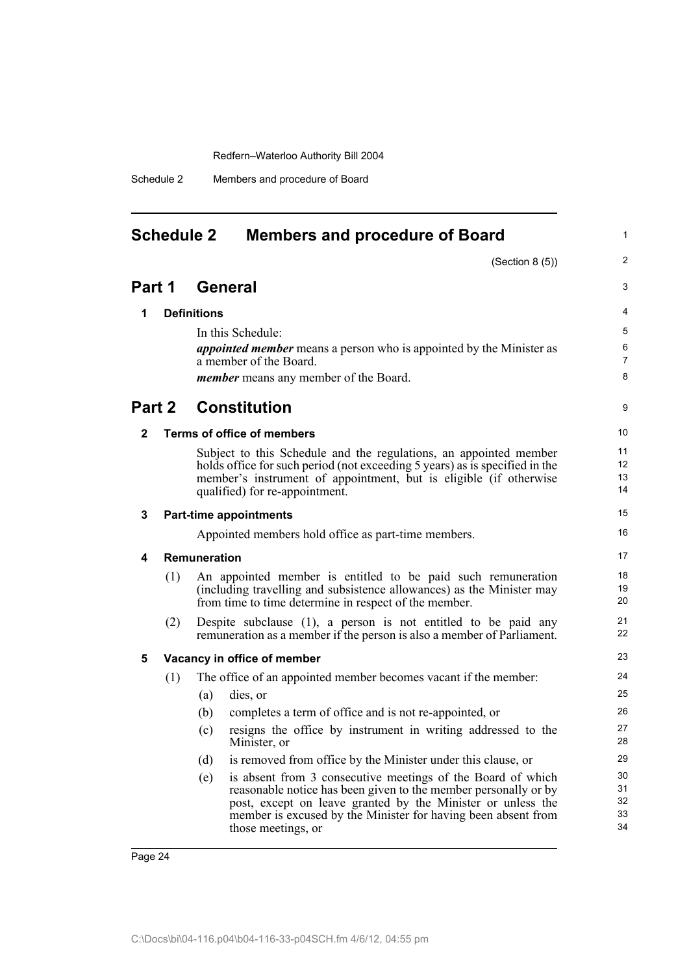Schedule 2 Members and procedure of Board

## <span id="page-27-0"></span>**Schedule 2 Members and procedure of Board**

(Section 8 (5))

1

2

|        | Part 1 |                     | <b>General</b>                                                                                                                                                                                                                                                                       | 3                          |
|--------|--------|---------------------|--------------------------------------------------------------------------------------------------------------------------------------------------------------------------------------------------------------------------------------------------------------------------------------|----------------------------|
| 1      |        | <b>Definitions</b>  |                                                                                                                                                                                                                                                                                      | 4                          |
|        |        |                     | In this Schedule:                                                                                                                                                                                                                                                                    | 5                          |
|        |        |                     | <i>appointed member</i> means a person who is appointed by the Minister as<br>a member of the Board.                                                                                                                                                                                 | 6<br>$\overline{7}$        |
|        |        |                     | <i>member</i> means any member of the Board.                                                                                                                                                                                                                                         | 8                          |
| Part 2 |        |                     | <b>Constitution</b>                                                                                                                                                                                                                                                                  | 9                          |
| 2      |        |                     | <b>Terms of office of members</b>                                                                                                                                                                                                                                                    | 10                         |
|        |        |                     | Subject to this Schedule and the regulations, an appointed member<br>holds office for such period (not exceeding 5 years) as is specified in the<br>member's instrument of appointment, but is eligible (if otherwise<br>qualified) for re-appointment.                              | 11<br>12<br>13<br>14       |
| 3      |        |                     | <b>Part-time appointments</b>                                                                                                                                                                                                                                                        | 15                         |
|        |        |                     | Appointed members hold office as part-time members.                                                                                                                                                                                                                                  | 16                         |
| 4      |        | <b>Remuneration</b> |                                                                                                                                                                                                                                                                                      | 17                         |
|        | (1)    |                     | An appointed member is entitled to be paid such remuneration<br>(including travelling and subsistence allowances) as the Minister may<br>from time to time determine in respect of the member.                                                                                       | 18<br>19<br>20             |
|        | (2)    |                     | Despite subclause $(1)$ , a person is not entitled to be paid any<br>remuneration as a member if the person is also a member of Parliament.                                                                                                                                          | 21<br>22                   |
| 5      |        |                     | Vacancy in office of member                                                                                                                                                                                                                                                          | 23                         |
|        | (1)    |                     | The office of an appointed member becomes vacant if the member:                                                                                                                                                                                                                      | 24                         |
|        |        | (a)                 | dies, or                                                                                                                                                                                                                                                                             | 25                         |
|        |        | (b)                 | completes a term of office and is not re-appointed, or                                                                                                                                                                                                                               | 26                         |
|        |        | (c)                 | resigns the office by instrument in writing addressed to the<br>Minister, or                                                                                                                                                                                                         | 27<br>28                   |
|        |        | (d)                 | is removed from office by the Minister under this clause, or                                                                                                                                                                                                                         | 29                         |
|        |        | (e)                 | is absent from 3 consecutive meetings of the Board of which<br>reasonable notice has been given to the member personally or by<br>post, except on leave granted by the Minister or unless the<br>member is excused by the Minister for having been absent from<br>those meetings, or | 30<br>31<br>32<br>33<br>34 |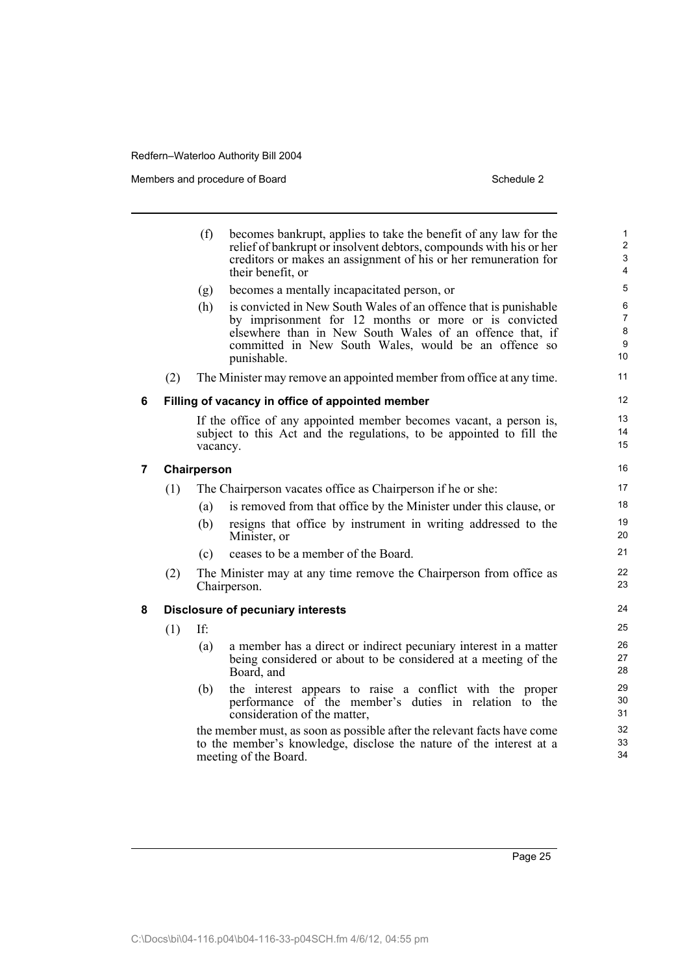Members and procedure of Board Schedule 2 and Schedule 2

|                |     | (f)         | becomes bankrupt, applies to take the benefit of any law for the<br>relief of bankrupt or insolvent debtors, compounds with his or her<br>creditors or makes an assignment of his or her remuneration for<br>their benefit, or | $\mathbf{1}$<br>$\overline{\mathbf{c}}$<br>3<br>4 |
|----------------|-----|-------------|--------------------------------------------------------------------------------------------------------------------------------------------------------------------------------------------------------------------------------|---------------------------------------------------|
|                |     | (g)         | becomes a mentally incapacitated person, or                                                                                                                                                                                    | 5                                                 |
|                |     | (h)         | is convicted in New South Wales of an offence that is punishable                                                                                                                                                               | 6                                                 |
|                |     |             | by imprisonment for 12 months or more or is convicted<br>elsewhere than in New South Wales of an offence that, if                                                                                                              | 7<br>8                                            |
|                |     |             | committed in New South Wales, would be an offence so<br>punishable.                                                                                                                                                            | 9<br>10                                           |
|                | (2) |             | The Minister may remove an appointed member from office at any time.                                                                                                                                                           | 11                                                |
| 6              |     |             | Filling of vacancy in office of appointed member                                                                                                                                                                               | 12                                                |
|                |     |             | If the office of any appointed member becomes vacant, a person is,                                                                                                                                                             | 13                                                |
|                |     |             | subject to this Act and the regulations, to be appointed to fill the                                                                                                                                                           | 14<br>15                                          |
|                |     | vacancy.    |                                                                                                                                                                                                                                |                                                   |
| $\overline{7}$ |     | Chairperson |                                                                                                                                                                                                                                | 16                                                |
|                | (1) |             | The Chairperson vacates office as Chairperson if he or she:                                                                                                                                                                    | 17                                                |
|                |     | (a)         | is removed from that office by the Minister under this clause, or                                                                                                                                                              | 18                                                |
|                |     | (b)         | resigns that office by instrument in writing addressed to the<br>Minister, or                                                                                                                                                  | 19<br>20                                          |
|                |     | (c)         | ceases to be a member of the Board.                                                                                                                                                                                            | 21                                                |
|                | (2) |             | The Minister may at any time remove the Chairperson from office as<br>Chairperson.                                                                                                                                             | 22<br>23                                          |
| 8              |     |             | <b>Disclosure of pecuniary interests</b>                                                                                                                                                                                       | 24                                                |
|                | (1) | If:         |                                                                                                                                                                                                                                | 25                                                |
|                |     | (a)         | a member has a direct or indirect pecuniary interest in a matter<br>being considered or about to be considered at a meeting of the<br>Board, and                                                                               | 26<br>27<br>28                                    |
|                |     | (b)         | the interest appears to raise a conflict with the proper<br>performance of the member's duties in relation to the<br>consideration of the matter,                                                                              | 29<br>30<br>31                                    |
|                |     |             | the member must, as soon as possible after the relevant facts have come<br>to the member's knowledge, disclose the nature of the interest at a<br>meeting of the Board.                                                        | 32<br>33<br>34                                    |
|                |     |             |                                                                                                                                                                                                                                |                                                   |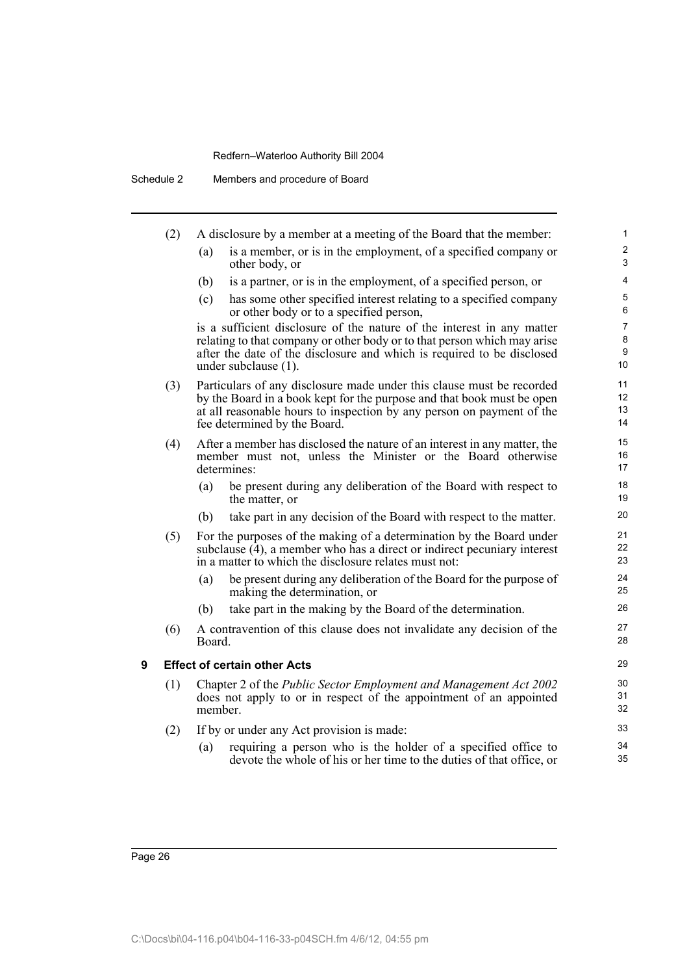|   | (2) |         | A disclosure by a member at a meeting of the Board that the member:                                                                                                                                                                                      | $\mathbf{1}$                         |
|---|-----|---------|----------------------------------------------------------------------------------------------------------------------------------------------------------------------------------------------------------------------------------------------------------|--------------------------------------|
|   |     | (a)     | is a member, or is in the employment, of a specified company or<br>other body, or                                                                                                                                                                        | $\overline{\mathbf{c}}$<br>3         |
|   |     | (b)     | is a partner, or is in the employment, of a specified person, or                                                                                                                                                                                         | 4                                    |
|   |     | (c)     | has some other specified interest relating to a specified company<br>or other body or to a specified person,                                                                                                                                             | $\mathbf 5$<br>6                     |
|   |     |         | is a sufficient disclosure of the nature of the interest in any matter<br>relating to that company or other body or to that person which may arise<br>after the date of the disclosure and which is required to be disclosed<br>under subclause (1).     | $\overline{7}$<br>$\bf 8$<br>9<br>10 |
|   | (3) |         | Particulars of any disclosure made under this clause must be recorded<br>by the Board in a book kept for the purpose and that book must be open<br>at all reasonable hours to inspection by any person on payment of the<br>fee determined by the Board. | 11<br>12<br>13<br>14                 |
|   | (4) |         | After a member has disclosed the nature of an interest in any matter, the<br>member must not, unless the Minister or the Board otherwise<br>determines:                                                                                                  | 15<br>16<br>17                       |
|   |     | (a)     | be present during any deliberation of the Board with respect to<br>the matter, or                                                                                                                                                                        | 18<br>19                             |
|   |     | (b)     | take part in any decision of the Board with respect to the matter.                                                                                                                                                                                       | 20                                   |
|   | (5) |         | For the purposes of the making of a determination by the Board under<br>subclause (4), a member who has a direct or indirect pecuniary interest<br>in a matter to which the disclosure relates must not:                                                 | 21<br>22<br>23                       |
|   |     | (a)     | be present during any deliberation of the Board for the purpose of<br>making the determination, or                                                                                                                                                       | 24<br>25                             |
|   |     | (b)     | take part in the making by the Board of the determination.                                                                                                                                                                                               | 26                                   |
|   | (6) | Board.  | A contravention of this clause does not invalidate any decision of the                                                                                                                                                                                   | 27<br>28                             |
| 9 |     |         | <b>Effect of certain other Acts</b>                                                                                                                                                                                                                      | 29                                   |
|   | (1) | member. | Chapter 2 of the Public Sector Employment and Management Act 2002<br>does not apply to or in respect of the appointment of an appointed                                                                                                                  | 30<br>31<br>32                       |
|   | (2) |         | If by or under any Act provision is made:                                                                                                                                                                                                                | 33                                   |
|   |     | (a)     | requiring a person who is the holder of a specified office to<br>devote the whole of his or her time to the duties of that office, or                                                                                                                    | 34<br>35                             |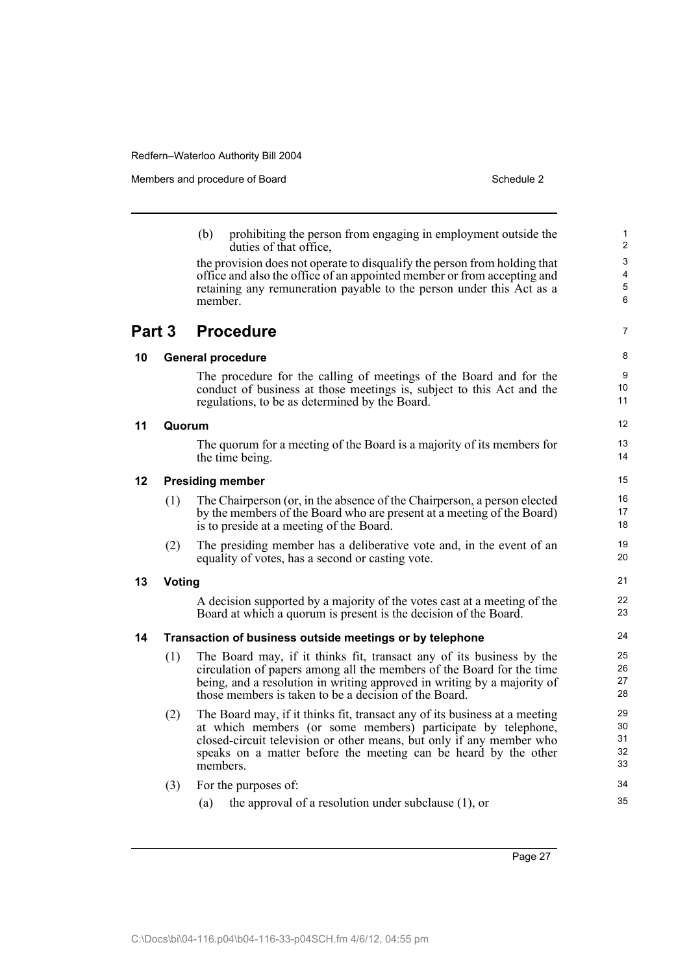(b) prohibiting the person from engaging in employment outside the duties of that office,

the provision does not operate to disqualify the person from holding that office and also the office of an appointed member or from accepting and retaining any remuneration payable to the person under this Act as a member.

7

21  $22$ 23

## **Part 3 Procedure**

#### **10 General procedure**

The procedure for the calling of meetings of the Board and for the conduct of business at those meetings is, subject to this Act and the regulations, to be as determined by the Board.

### **11 Quorum**

The quorum for a meeting of the Board is a majority of its members for the time being.

#### **12 Presiding member**

- (1) The Chairperson (or, in the absence of the Chairperson, a person elected by the members of the Board who are present at a meeting of the Board) is to preside at a meeting of the Board.
- (2) The presiding member has a deliberative vote and, in the event of an equality of votes, has a second or casting vote.

#### **13 Voting**

A decision supported by a majority of the votes cast at a meeting of the Board at which a quorum is present is the decision of the Board.

#### **14 Transaction of business outside meetings or by telephone**

- (1) The Board may, if it thinks fit, transact any of its business by the circulation of papers among all the members of the Board for the time being, and a resolution in writing approved in writing by a majority of those members is taken to be a decision of the Board.
- (2) The Board may, if it thinks fit, transact any of its business at a meeting at which members (or some members) participate by telephone, closed-circuit television or other means, but only if any member who speaks on a matter before the meeting can be heard by the other members.
- (3) For the purposes of: (a) the approval of a resolution under subclause (1), or 34 35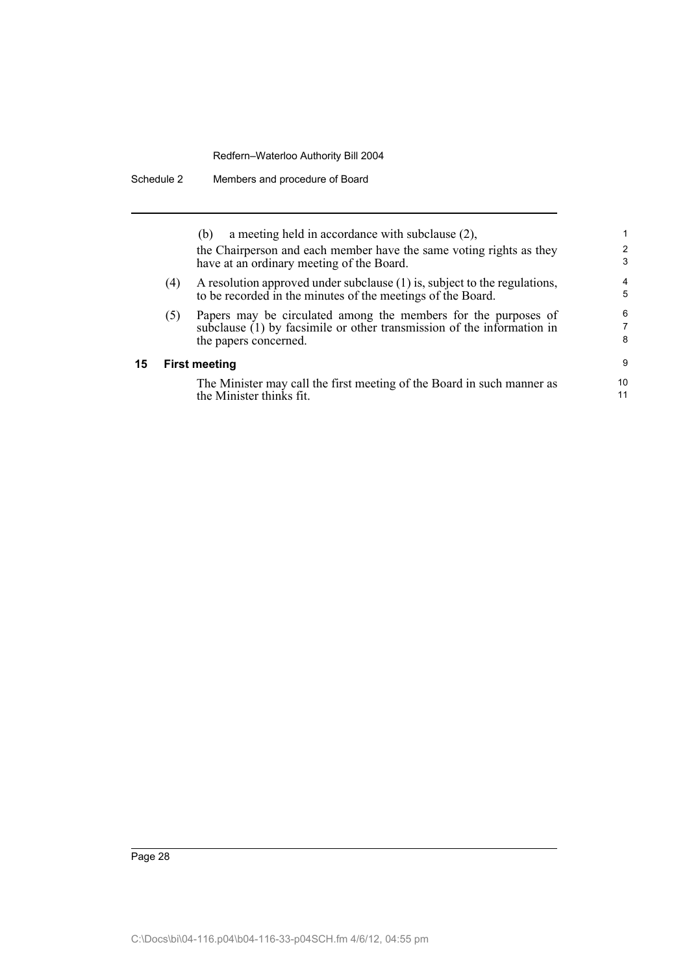|    |     | a meeting held in accordance with subclause (2),<br>(b)<br>the Chairperson and each member have the same voting rights as they<br>have at an ordinary meeting of the Board. | 2<br>3      |
|----|-----|-----------------------------------------------------------------------------------------------------------------------------------------------------------------------------|-------------|
|    | (4) | A resolution approved under subclause (1) is, subject to the regulations,<br>to be recorded in the minutes of the meetings of the Board.                                    | 4<br>5      |
|    | (5) | Papers may be circulated among the members for the purposes of<br>subclause (1) by facsimile or other transmission of the information in<br>the papers concerned.           | 6<br>7<br>8 |
| 15 |     | <b>First meeting</b>                                                                                                                                                        | -9          |
|    |     | The Minister may call the first meeting of the Board in such manner as<br>the Minister thinks fit.                                                                          | 10<br>11    |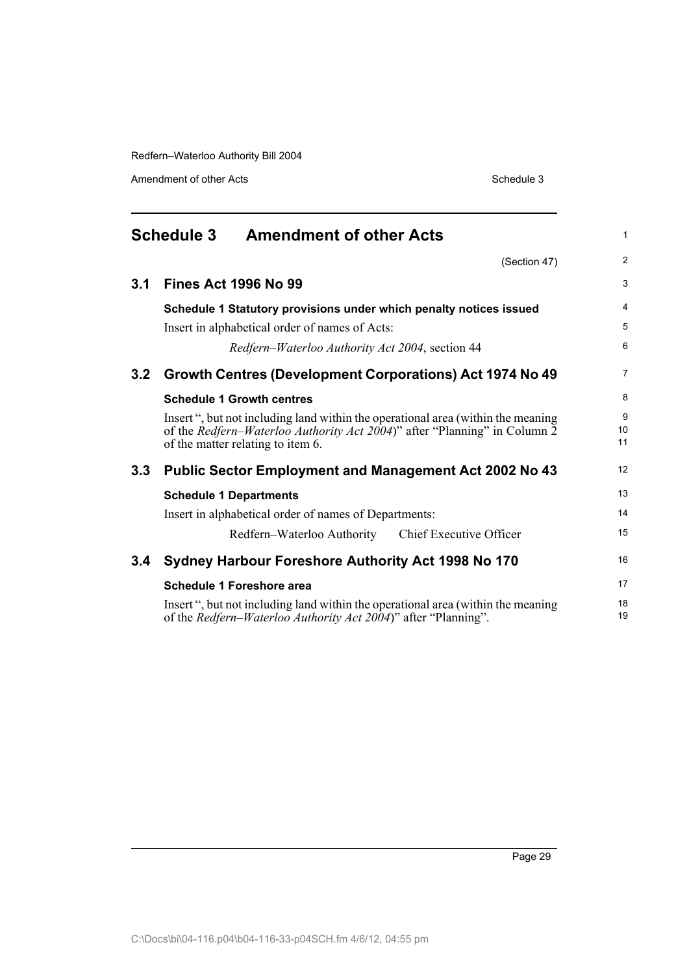Amendment of other Acts Schedule 3

<span id="page-32-0"></span>

| <b>Schedule 3</b><br><b>Amendment of other Acts</b> |                                                                                                                                                                                                                      |                            |  |  |
|-----------------------------------------------------|----------------------------------------------------------------------------------------------------------------------------------------------------------------------------------------------------------------------|----------------------------|--|--|
|                                                     | (Section 47)                                                                                                                                                                                                         | $\overline{2}$             |  |  |
| 3.1                                                 | <b>Fines Act 1996 No 99</b>                                                                                                                                                                                          | 3                          |  |  |
|                                                     | Schedule 1 Statutory provisions under which penalty notices issued                                                                                                                                                   | 4                          |  |  |
|                                                     | Insert in alphabetical order of names of Acts:                                                                                                                                                                       | 5                          |  |  |
|                                                     | Redfern–Waterloo Authority Act 2004, section 44                                                                                                                                                                      | 6                          |  |  |
| 3.2                                                 | Growth Centres (Development Corporations) Act 1974 No 49                                                                                                                                                             | $\overline{7}$             |  |  |
|                                                     | <b>Schedule 1 Growth centres</b>                                                                                                                                                                                     | 8                          |  |  |
|                                                     | Insert ", but not including land within the operational area (within the meaning<br>of the <i>Redfern–Waterloo Authority Act 2004</i> )" after "Planning" in Column $\tilde{2}$<br>of the matter relating to item 6. | 9<br>10 <sup>1</sup><br>11 |  |  |
| 3.3                                                 | <b>Public Sector Employment and Management Act 2002 No 43</b>                                                                                                                                                        | 12                         |  |  |
|                                                     | <b>Schedule 1 Departments</b>                                                                                                                                                                                        | 13                         |  |  |
|                                                     | Insert in alphabetical order of names of Departments:                                                                                                                                                                | 14                         |  |  |
|                                                     | Chief Executive Officer<br>Redfern–Waterloo Authority                                                                                                                                                                | 15                         |  |  |
| 3.4                                                 | Sydney Harbour Foreshore Authority Act 1998 No 170                                                                                                                                                                   | 16                         |  |  |
|                                                     | <b>Schedule 1 Foreshore area</b>                                                                                                                                                                                     | 17                         |  |  |
|                                                     | Insert ", but not including land within the operational area (within the meaning<br>of the <i>Redfern–Waterloo Authority Act 2004</i> )" after "Planning".                                                           | 18<br>19                   |  |  |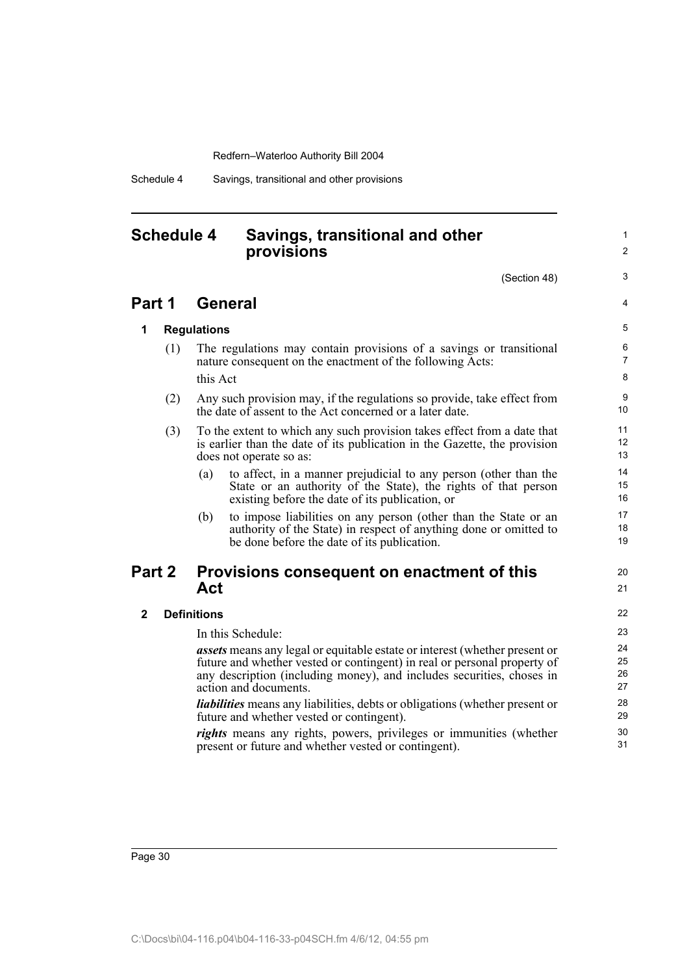Schedule 4 Savings, transitional and other provisions

## <span id="page-33-0"></span>**Schedule 4 Savings, transitional and other provisions**

(Section 48)

1  $\overline{2}$ 

3

 $\lambda$ 

20 21

## **Part 1 General**

| <b>Regulations</b> |                                                                                                                                              |  |  |  |  |
|--------------------|----------------------------------------------------------------------------------------------------------------------------------------------|--|--|--|--|
| (1)                | The regulations may contain provisions of a savings or transitional<br>nature consequent on the enactment of the following Acts:<br>this Act |  |  |  |  |
|                    |                                                                                                                                              |  |  |  |  |
| (2)                | Any such provision may, if the regulations so provide, take effect from<br>the date of assent to the Act concerned or a later date.          |  |  |  |  |

- (3) To the extent to which any such provision takes effect from a date that is earlier than the date of its publication in the Gazette, the provision does not operate so as:
	- (a) to affect, in a manner prejudicial to any person (other than the State or an authority of the State), the rights of that person existing before the date of its publication, or
	- (b) to impose liabilities on any person (other than the State or an authority of the State) in respect of anything done or omitted to be done before the date of its publication.

## **Part 2 Provisions consequent on enactment of this Act**

#### **2 Definitions**

In this Schedule:

*assets* means any legal or equitable estate or interest (whether present or future and whether vested or contingent) in real or personal property of any description (including money), and includes securities, choses in action and documents.

*liabilities* means any liabilities, debts or obligations (whether present or future and whether vested or contingent).

*rights* means any rights, powers, privileges or immunities (whether present or future and whether vested or contingent).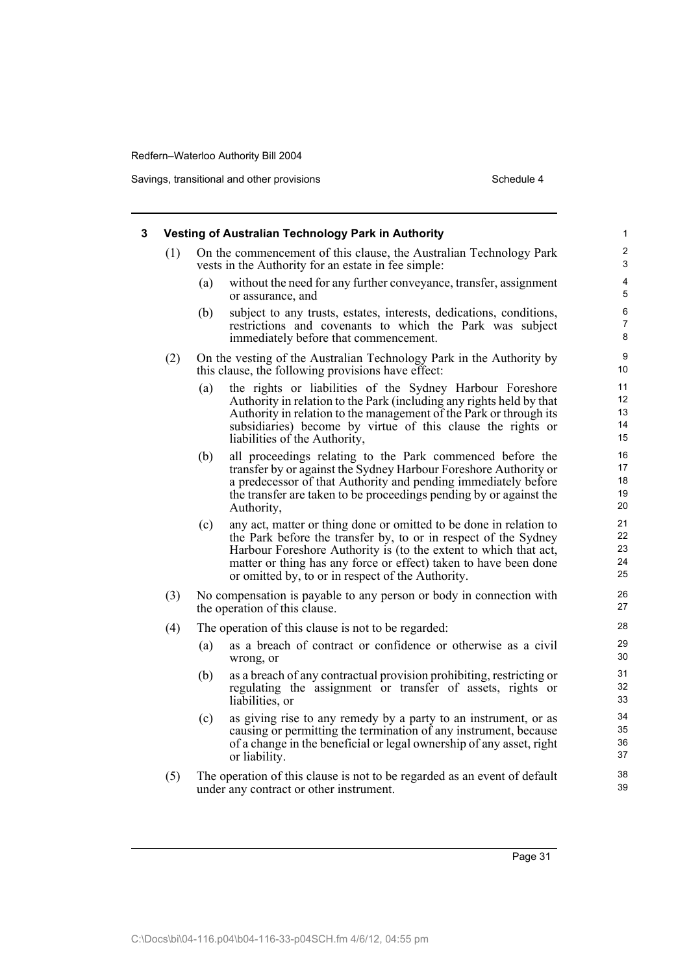Savings, transitional and other provisions Schedule 4

|     |                                                                                                                            | Vesting of Australian Technology Park in Authority                                                                                                                                                                                                                                                                                 | $\mathbf{1}$               |  |  |
|-----|----------------------------------------------------------------------------------------------------------------------------|------------------------------------------------------------------------------------------------------------------------------------------------------------------------------------------------------------------------------------------------------------------------------------------------------------------------------------|----------------------------|--|--|
| (1) |                                                                                                                            | On the commencement of this clause, the Australian Technology Park<br>vests in the Authority for an estate in fee simple:                                                                                                                                                                                                          |                            |  |  |
|     | (a)                                                                                                                        | without the need for any further conveyance, transfer, assignment<br>or assurance, and                                                                                                                                                                                                                                             | 4<br>$\overline{5}$        |  |  |
|     | (b)                                                                                                                        | subject to any trusts, estates, interests, dedications, conditions,<br>restrictions and covenants to which the Park was subject<br>immediately before that commencement.                                                                                                                                                           | 6<br>$\overline{7}$<br>8   |  |  |
| (2) | On the vesting of the Australian Technology Park in the Authority by<br>this clause, the following provisions have effect: | 9<br>10                                                                                                                                                                                                                                                                                                                            |                            |  |  |
|     | (a)                                                                                                                        | the rights or liabilities of the Sydney Harbour Foreshore<br>Authority in relation to the Park (including any rights held by that<br>Authority in relation to the management of the Park or through its<br>subsidiaries) become by virtue of this clause the rights or<br>liabilities of the Authority,                            | 11<br>12<br>13<br>14<br>15 |  |  |
|     | (b)                                                                                                                        | all proceedings relating to the Park commenced before the<br>transfer by or against the Sydney Harbour Foreshore Authority or<br>a predecessor of that Authority and pending immediately before<br>the transfer are taken to be proceedings pending by or against the<br>Authority,                                                | 16<br>17<br>18<br>19<br>20 |  |  |
|     | (c)                                                                                                                        | any act, matter or thing done or omitted to be done in relation to<br>the Park before the transfer by, to or in respect of the Sydney<br>Harbour Foreshore Authority is (to the extent to which that act,<br>matter or thing has any force or effect) taken to have been done<br>or omitted by, to or in respect of the Authority. | 21<br>22<br>23<br>24<br>25 |  |  |
| (3) | No compensation is payable to any person or body in connection with<br>the operation of this clause.                       |                                                                                                                                                                                                                                                                                                                                    |                            |  |  |
| (4) | The operation of this clause is not to be regarded:                                                                        |                                                                                                                                                                                                                                                                                                                                    | 28                         |  |  |
|     | (a)                                                                                                                        | as a breach of contract or confidence or otherwise as a civil<br>wrong, or                                                                                                                                                                                                                                                         | 29<br>30                   |  |  |
|     | (b)                                                                                                                        | as a breach of any contractual provision prohibiting, restricting or<br>regulating the assignment or transfer of assets, rights or<br>liabilities, or                                                                                                                                                                              | 31<br>32<br>33             |  |  |
|     | (c)                                                                                                                        | as giving rise to any remedy by a party to an instrument, or as<br>causing or permitting the termination of any instrument, because<br>of a change in the beneficial or legal ownership of any asset, right<br>or liability.                                                                                                       | 34<br>35<br>36<br>37       |  |  |
| (5) |                                                                                                                            | The operation of this clause is not to be regarded as an event of default<br>under any contract or other instrument.                                                                                                                                                                                                               | 38<br>39                   |  |  |